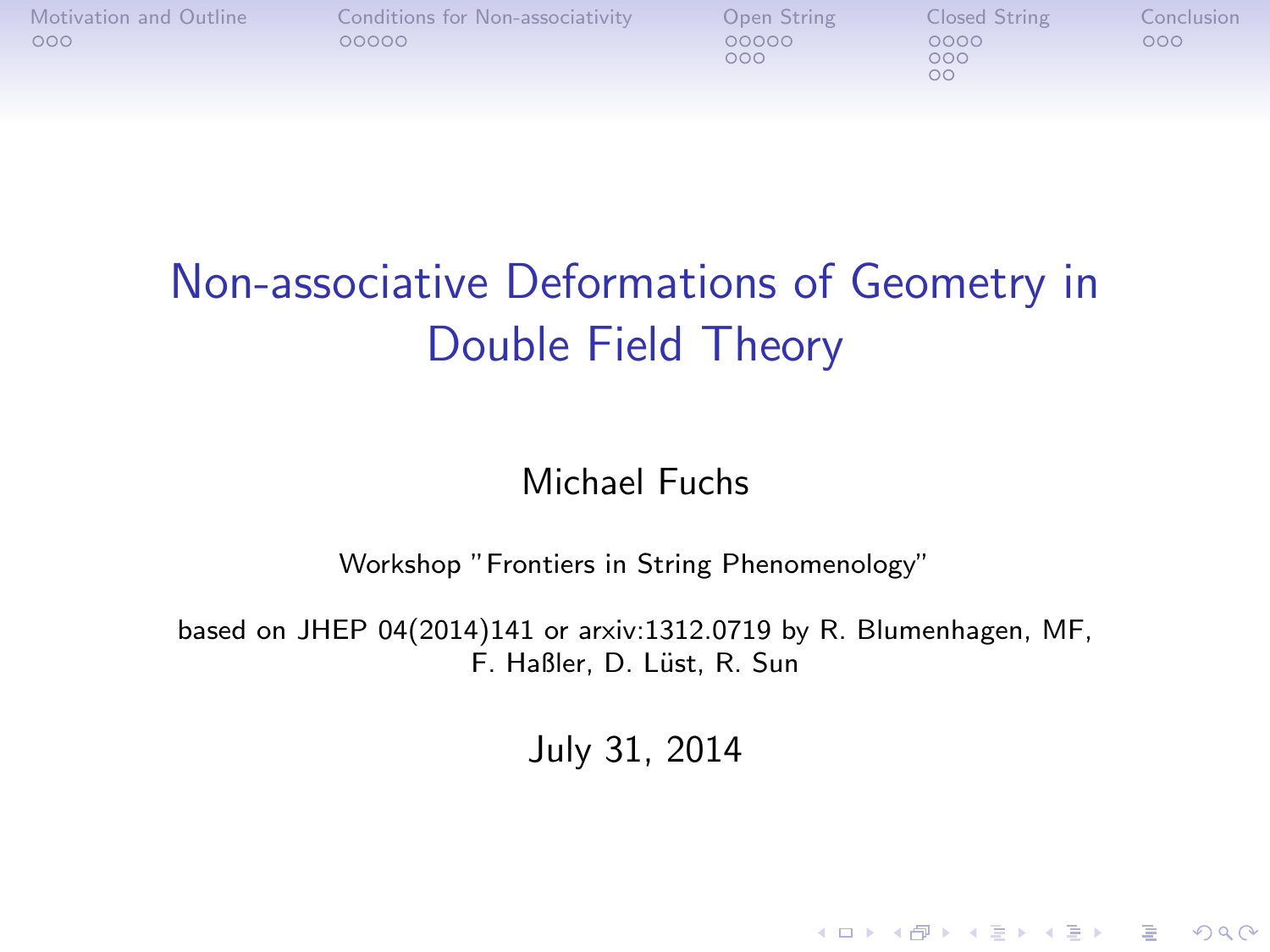| Motivation and Outline<br>000 | Conditions for Non-associativity<br>00000 | Open String<br>00000<br>000 | Closed String<br>0000<br>000 | Conclusion<br>000 |
|-------------------------------|-------------------------------------------|-----------------------------|------------------------------|-------------------|
|-------------------------------|-------------------------------------------|-----------------------------|------------------------------|-------------------|

# Non-associative Deformations of Geometry in Double Field Theory

#### Michael Fuchs

Workshop "Frontiers in String Phenomenology"

based on JHEP 04(2014)141 or arxiv:1312.0719 by R. Blumenhagen, MF, F. Haßler, D. Lüst, R. Sun

July 31, 2014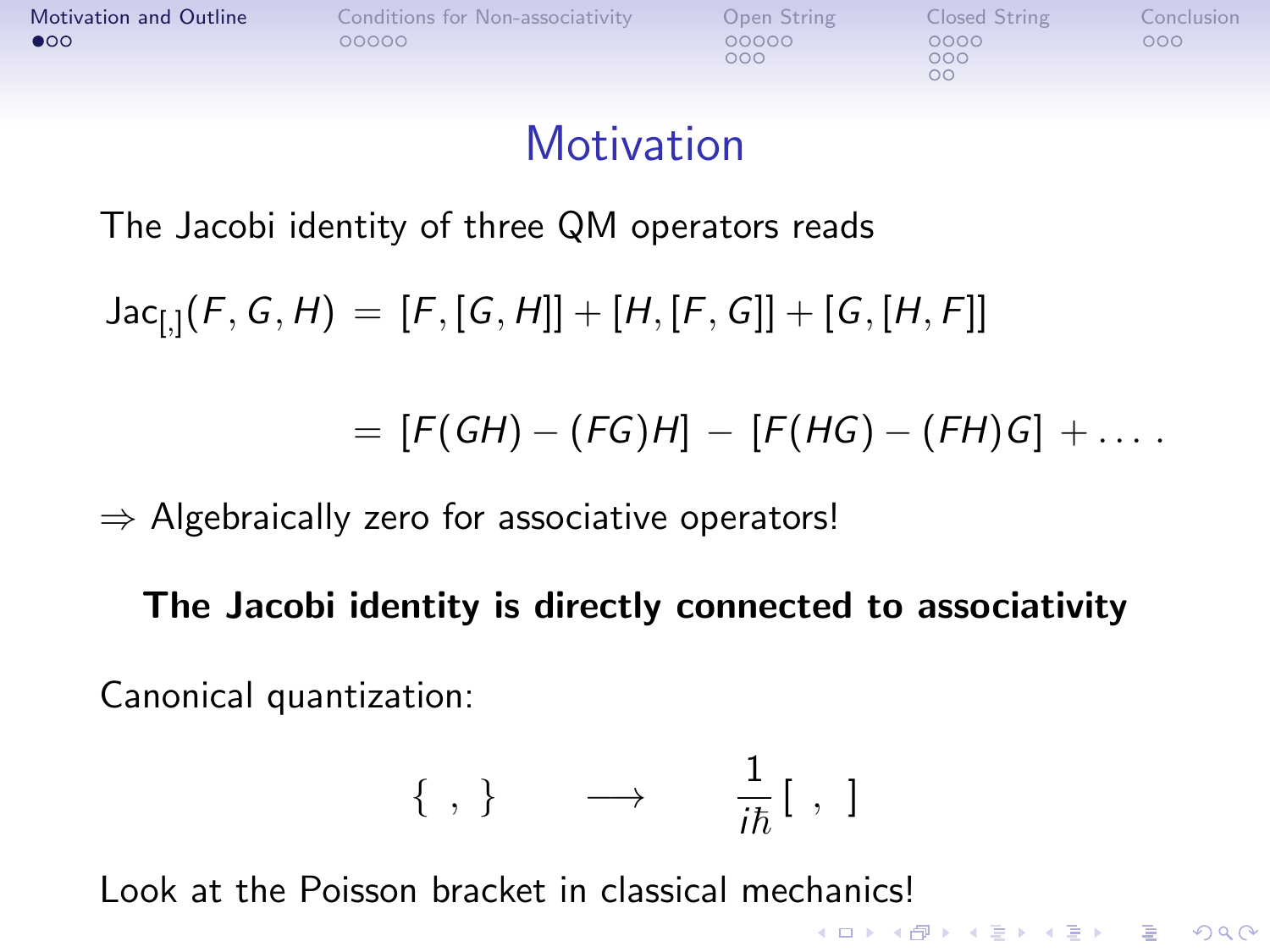<span id="page-1-0"></span>

| <b>Motivation and Outline</b> | Conditions for Non-associativity | Open String  | Closed String | Conclusion |
|-------------------------------|----------------------------------|--------------|---------------|------------|
| $\bullet$ 00                  | 00000                            | 00000<br>റററ | 0000<br>000   | 000        |
|                               |                                  |              |               |            |

#### **Motivation**

The Jacobi identity of three QM operators reads

 $\mathsf{Jac}_{[,]}(F,G,H) \,=\, [F,[\mathsf{G},\mathsf{H}]] + [H,[F,\mathsf{G}]] + [\mathsf{G},[\mathsf{H},\mathsf{F}]]$ 

 $= [F(GH) - (FG)H] - [F(HG) - (FH)G] + \dots$ 

**KORKA SERKER ORA** 

 $\Rightarrow$  Algebraically zero for associative operators!

The Jacobi identity is directly connected to associativity

Canonical quantization:

$$
\{\ ,\ \}\qquad\longrightarrow\qquad \frac{1}{i\hbar}[\ ,\ ]
$$

Look at the Poisson bracket in classical mechanics!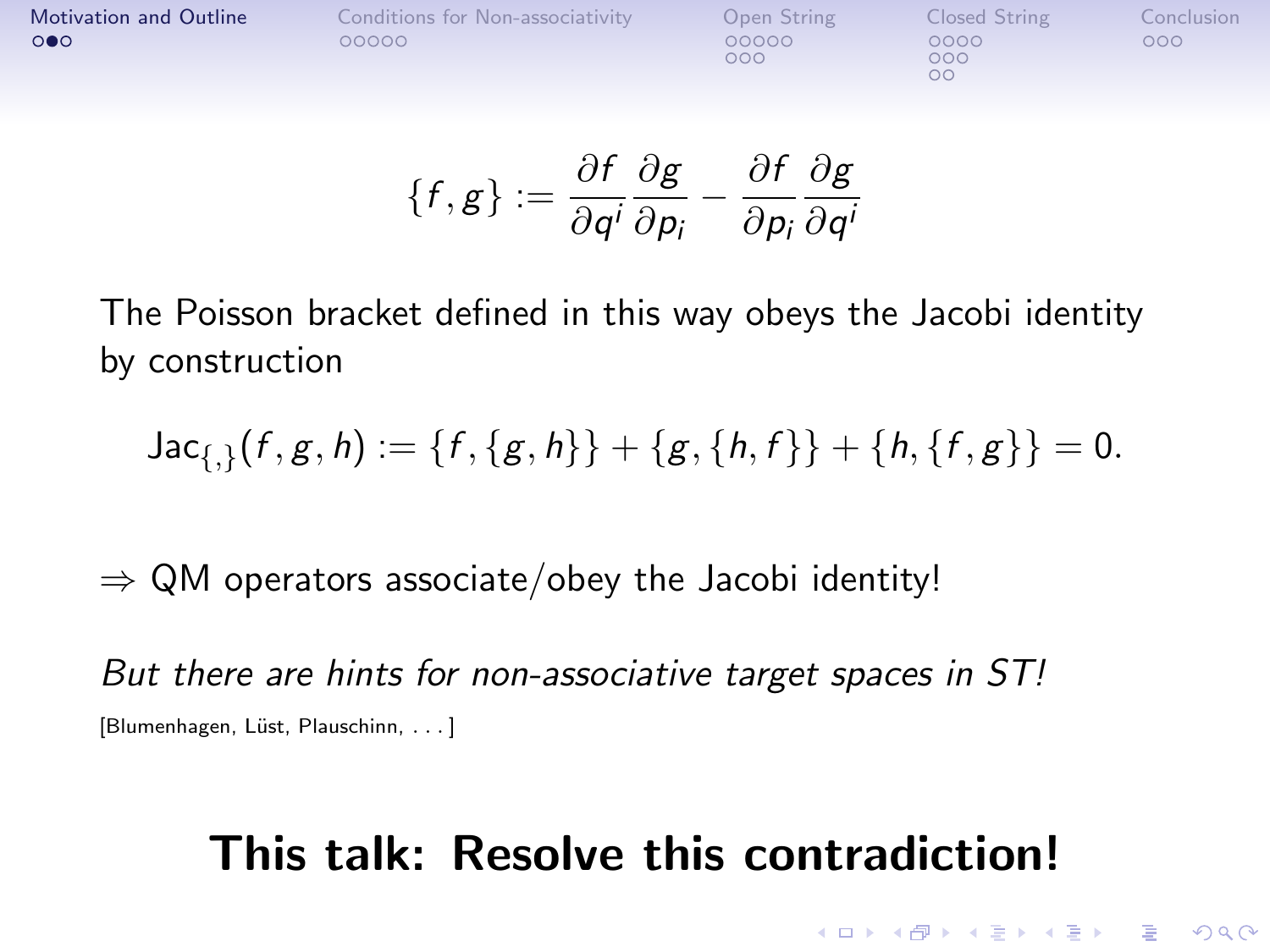| <b>Motivation and Outline</b> | Conditions for Non-associativity | Open String  | Closed String | Conclusion <sup>1</sup> |
|-------------------------------|----------------------------------|--------------|---------------|-------------------------|
| $\circ \bullet \circ$         | 00000                            | 00000<br>റററ | 0000<br>000   | 000                     |
|                               |                                  |              | oс            |                         |

$$
\{f,g\}:=\frac{\partial f}{\partial q^i}\frac{\partial g}{\partial p_i}-\frac{\partial f}{\partial p_i}\frac{\partial g}{\partial q^i}
$$

The Poisson bracket defined in this way obeys the Jacobi identity by construction

Jac<sub>{,}</sub>
$$
(f, g, h) := {f, {g, h}} + {g, {h, f}} + {h, {f, g}} = 0.
$$

 $\Rightarrow$  QM operators associate/obey the Jacobi identity!

But there are hints for non-associative target spaces in ST! [Blumenhagen, Lüst, Plauschinn, ...]

## This talk: Resolve this contradiction!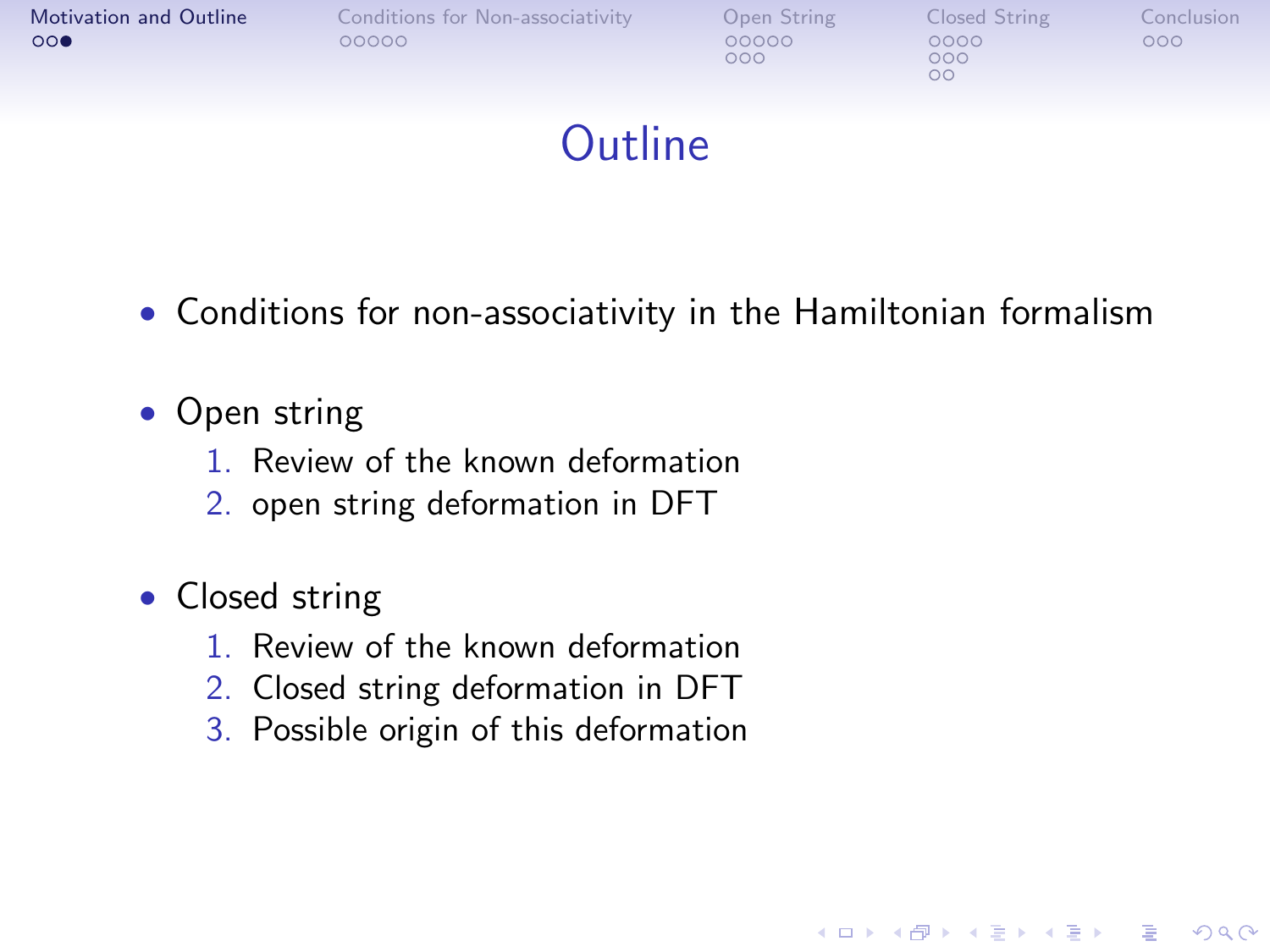| Motivation and Outline<br>000 | Conditions for Non-associativity<br>00000 | Open String<br>00000<br>000 | Closed String<br>0000<br>000<br>OΟ | Conclusion<br>000 |
|-------------------------------|-------------------------------------------|-----------------------------|------------------------------------|-------------------|
|                               |                                           |                             |                                    |                   |

## **Outline**

• Conditions for non-associativity in the Hamiltonian formalism

- Open string
	- 1. Review of the known deformation
	- 2. open string deformation in DFT
- Closed string
	- 1. Review of the known deformation
	- 2. Closed string deformation in DFT
	- 3. Possible origin of this deformation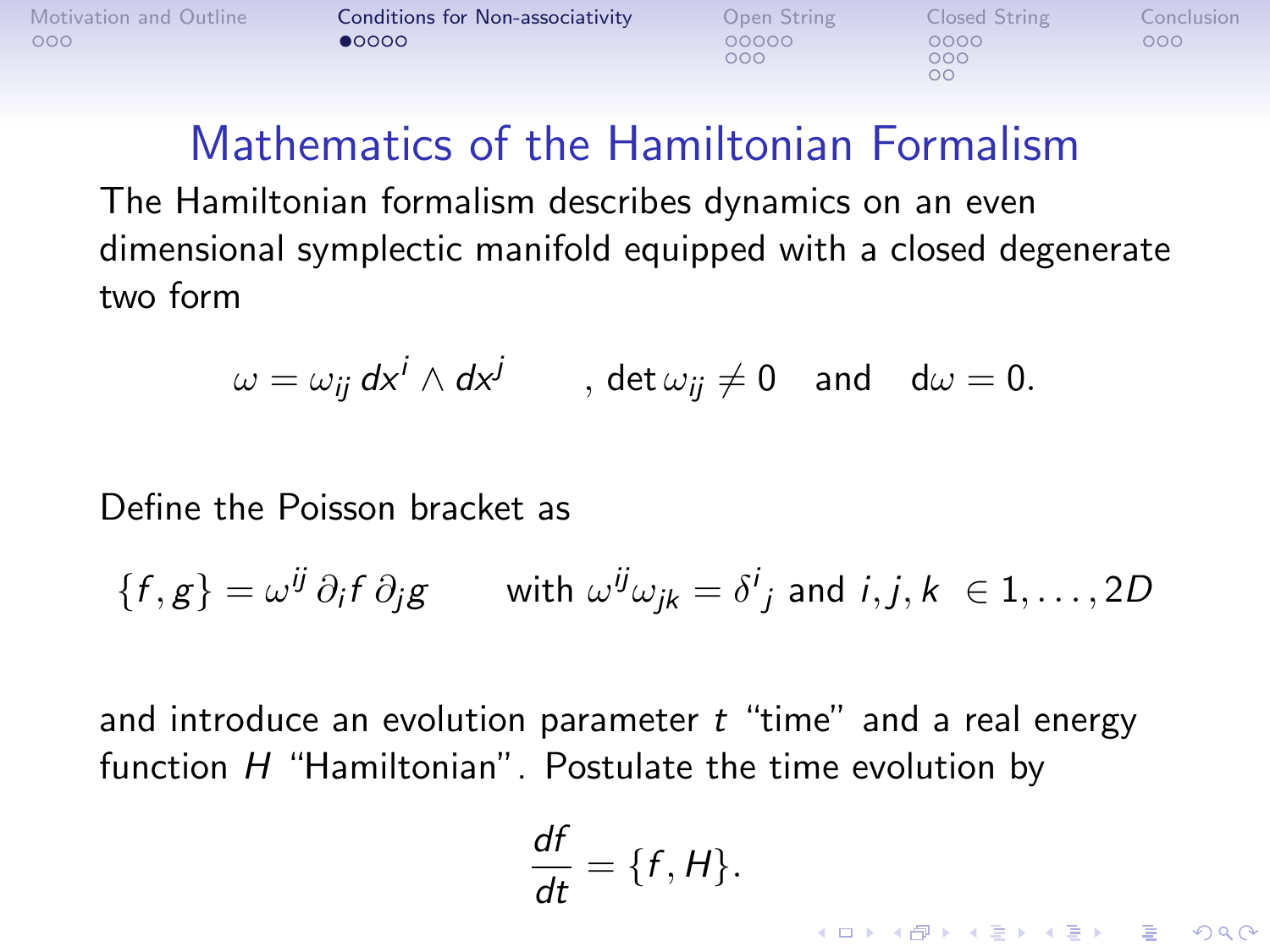<span id="page-4-0"></span>

 $000$ 

 $000$  $\overline{O}O$ 

**KORK STRAIN A BAR SHOP** 

### Mathematics of the Hamiltonian Formalism

The Hamiltonian formalism describes dynamics on an even dimensional symplectic manifold equipped with a closed degenerate two form

$$
\omega = \omega_{ij} \, dx^i \wedge dx^j \qquad , \, \det \omega_{ij} \neq 0 \quad \text{and} \quad d\omega = 0.
$$

Define the Poisson bracket as

$$
\{f,g\} = \omega^{ij} \, \partial_i f \, \partial_j g \qquad \text{with } \omega^{ij} \omega_{jk} = \delta^i{}_j \text{ and } i,j,k \in 1,\ldots, 2D
$$

and introduce an evolution parameter  $t$  "time" and a real energy function  $H$  "Hamiltonian". Postulate the time evolution by

$$
\frac{df}{dt} = \{f, H\}.
$$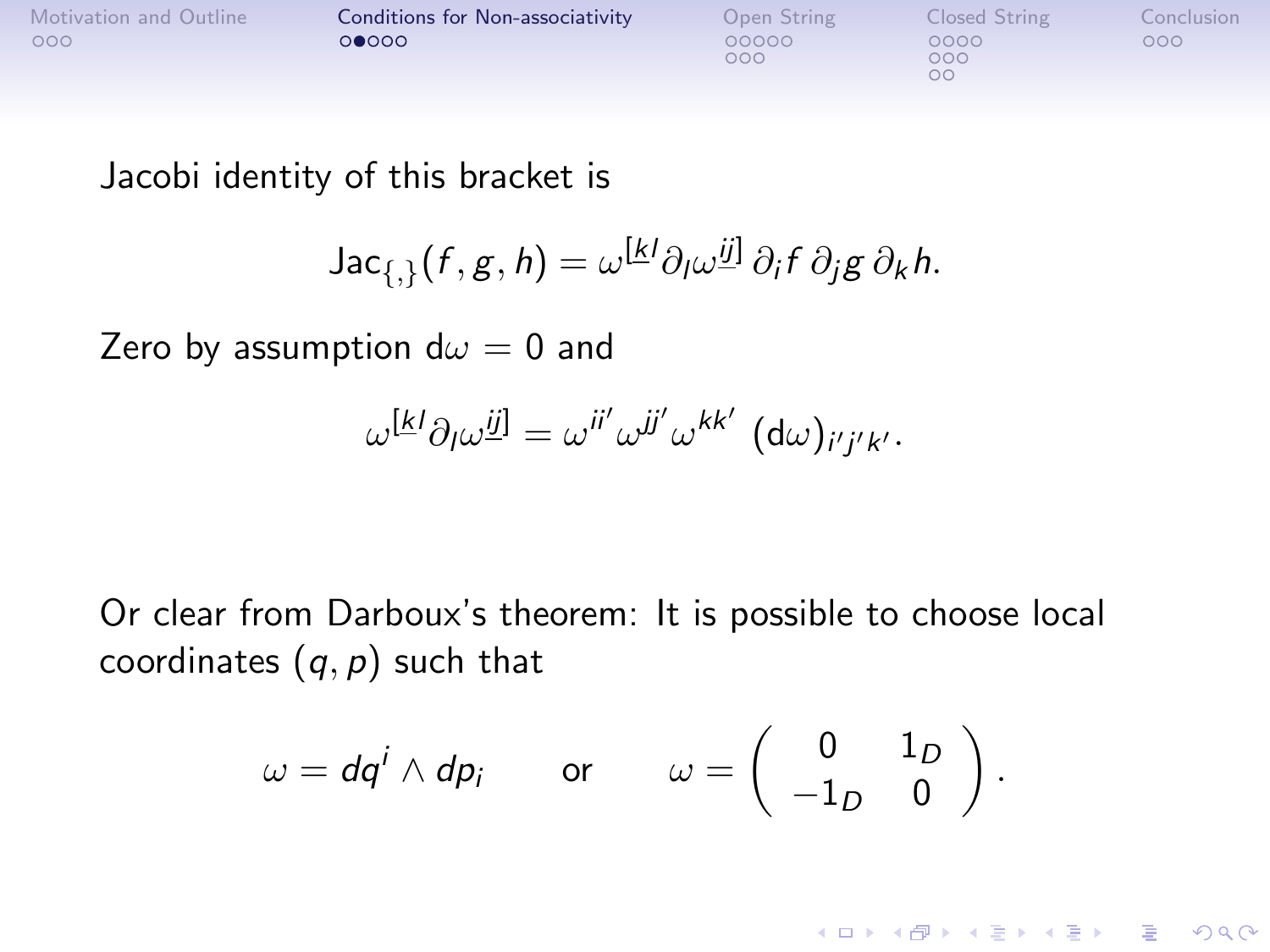| Motivation and Outline | Conditions for Non-associativity | Open String  | Closed String     | Conclusion |
|------------------------|----------------------------------|--------------|-------------------|------------|
| 000                    | 00000                            | 00000<br>000 | 0000<br>000<br>oc | 000        |

Jacobi identity of this bracket is

Jac<sub>{,}</sub>
$$
(f, g, h) = \omega^{k} \partial_{l} \omega^{j} \partial_{i} f \partial_{j} g \partial_{k} h
$$
.

Zero by assumption  $d\omega = 0$  and

$$
\omega^{[k]} \partial_l \omega^{ij]} = \omega^{ii'} \omega^{jj'} \omega^{kk'} \left( d\omega \right)_{i'j'k'}.
$$

Or clear from Darboux's theorem: It is possible to choose local coordinates  $(q, p)$  such that

$$
\omega = dq^i \wedge dp_i \qquad \text{or} \qquad \omega = \left( \begin{array}{cc} 0 & 1_D \\ -1_D & 0 \end{array} \right).
$$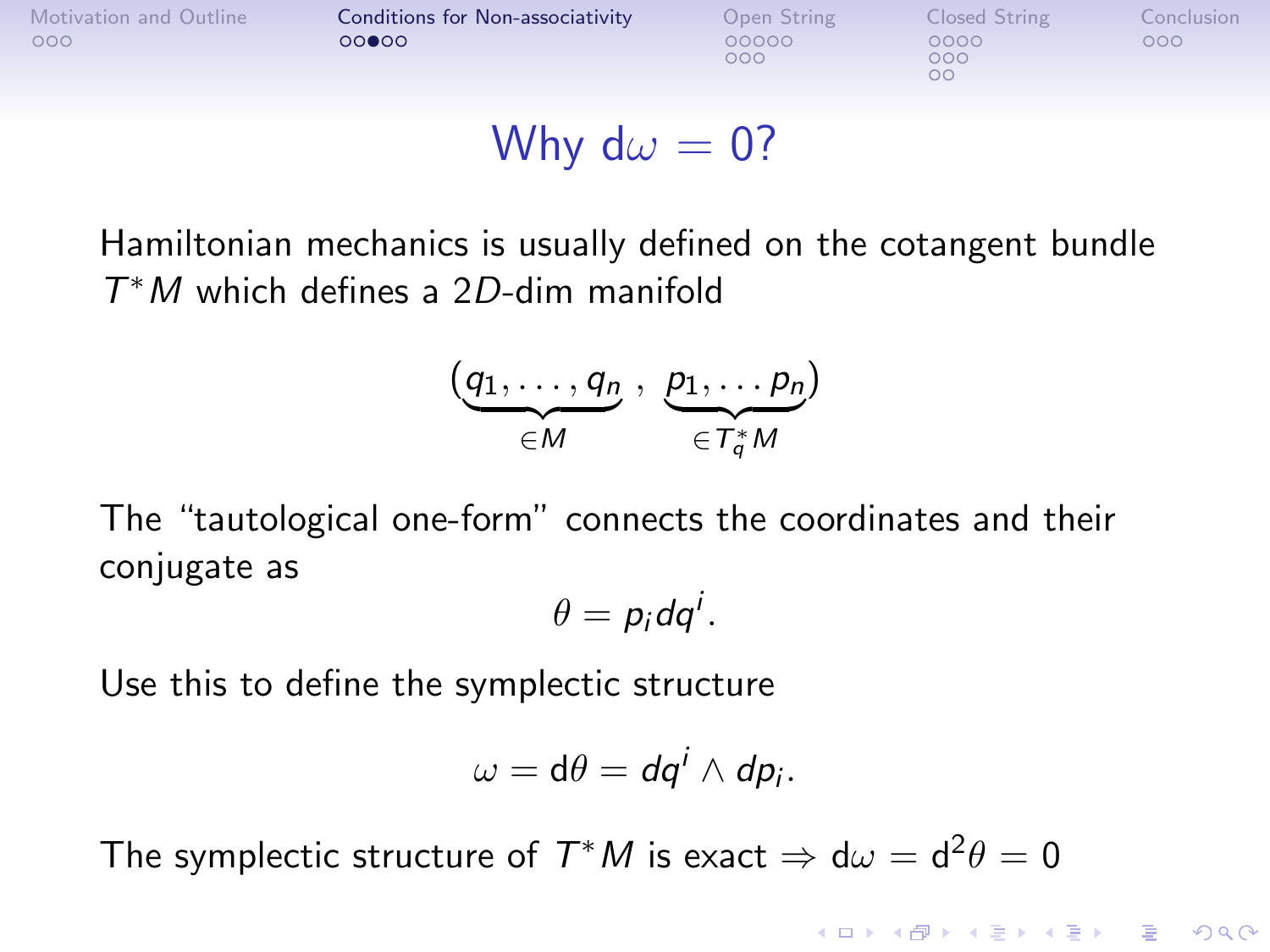| Motivation and Outline | Conditions for Non-associativity | Open String  | Closed String     | Conclusion |
|------------------------|----------------------------------|--------------|-------------------|------------|
| 000                    | 00000                            | 00000<br>റററ | 0000<br>000<br>oс | ೧೧೧        |

#### Why d $\omega = 0$ ?

Hamiltonian mechanics is usually defined on the cotangent bundle T <sup>∗</sup>M which defines a 2D-dim manifold

$$
(\underbrace{q_1,\ldots,q_n}_{\in M},\ \underbrace{p_1,\ldots p_n}_{\in T_q^*M})
$$

The "tautological one-form" connects the coordinates and their conjugate as

$$
\theta=p_i dq^i.
$$

Use this to define the symplectic structure

$$
\omega=\mathrm{d}\theta=\mathrm{d} q^i\wedge\mathrm{d} p_i.
$$

**K ロ ▶ K @ ▶ K 할 X X 할 X 및 할 X X Q Q O** 

The symplectic structure of  $T^*M$  is exact  $\Rightarrow {\rm d}\omega={\rm d}^2\theta=0$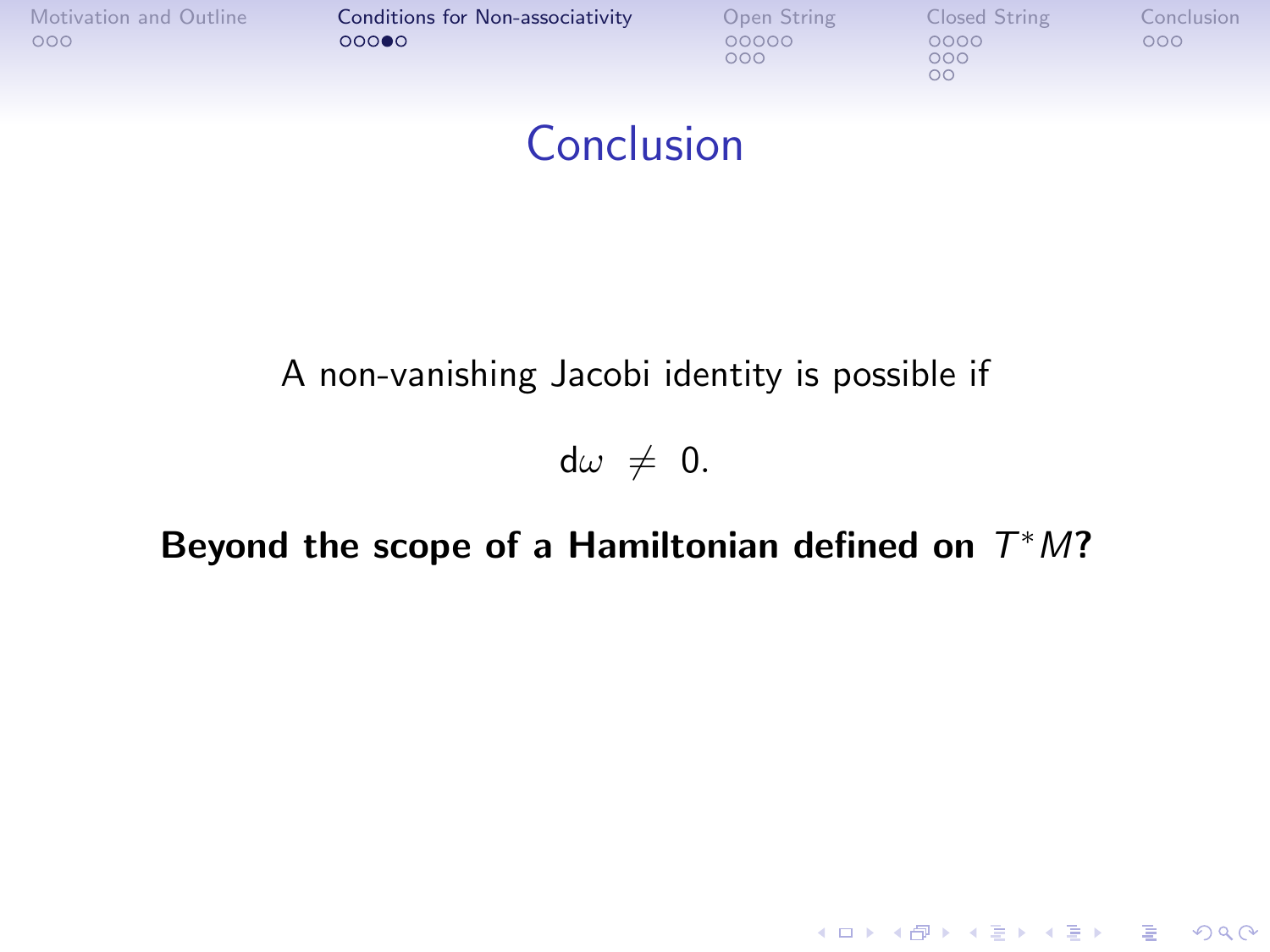|     | Motivation and Outline | Conditions for Non-associativity | Open String  | Closed String     | Conclusion |
|-----|------------------------|----------------------------------|--------------|-------------------|------------|
| 000 |                        | 00000                            | 00000<br>000 | 0000<br>000<br>OΟ | 000        |
|     |                        |                                  |              |                   |            |

## Conclusion

#### A non-vanishing Jacobi identity is possible if

 $d\omega \neq 0.$ 

#### Beyond the scope of a Hamiltonian defined on  $T^*M$ ?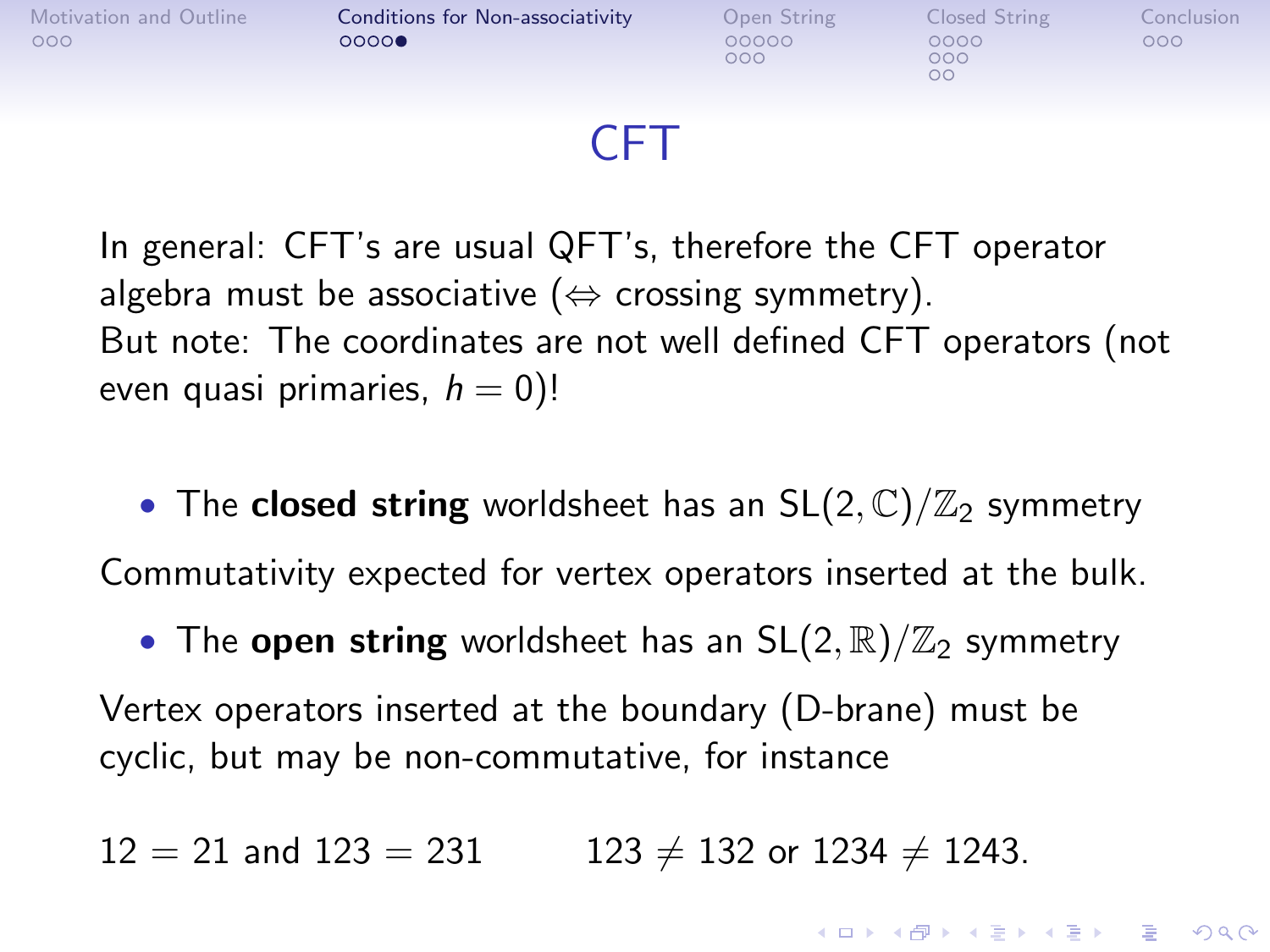

#### CFT

In general: CFT's are usual QFT's, therefore the CFT operator algebra must be associative ( $\Leftrightarrow$  crossing symmetry). But note: The coordinates are not well defined CFT operators (not even quasi primaries,  $h = 0$ )!

• The closed string worldsheet has an  $SL(2,\mathbb{C})/\mathbb{Z}_2$  symmetry Commutativity expected for vertex operators inserted at the bulk.

• The open string worldsheet has an  $SL(2,\mathbb{R})/\mathbb{Z}_2$  symmetry Vertex operators inserted at the boundary (D-brane) must be cyclic, but may be non-commutative, for instance

**KORKA SERKER ORA** 

 $12 = 21$  and  $123 = 231$  123  $\neq$  132 or 1234  $\neq$  1243.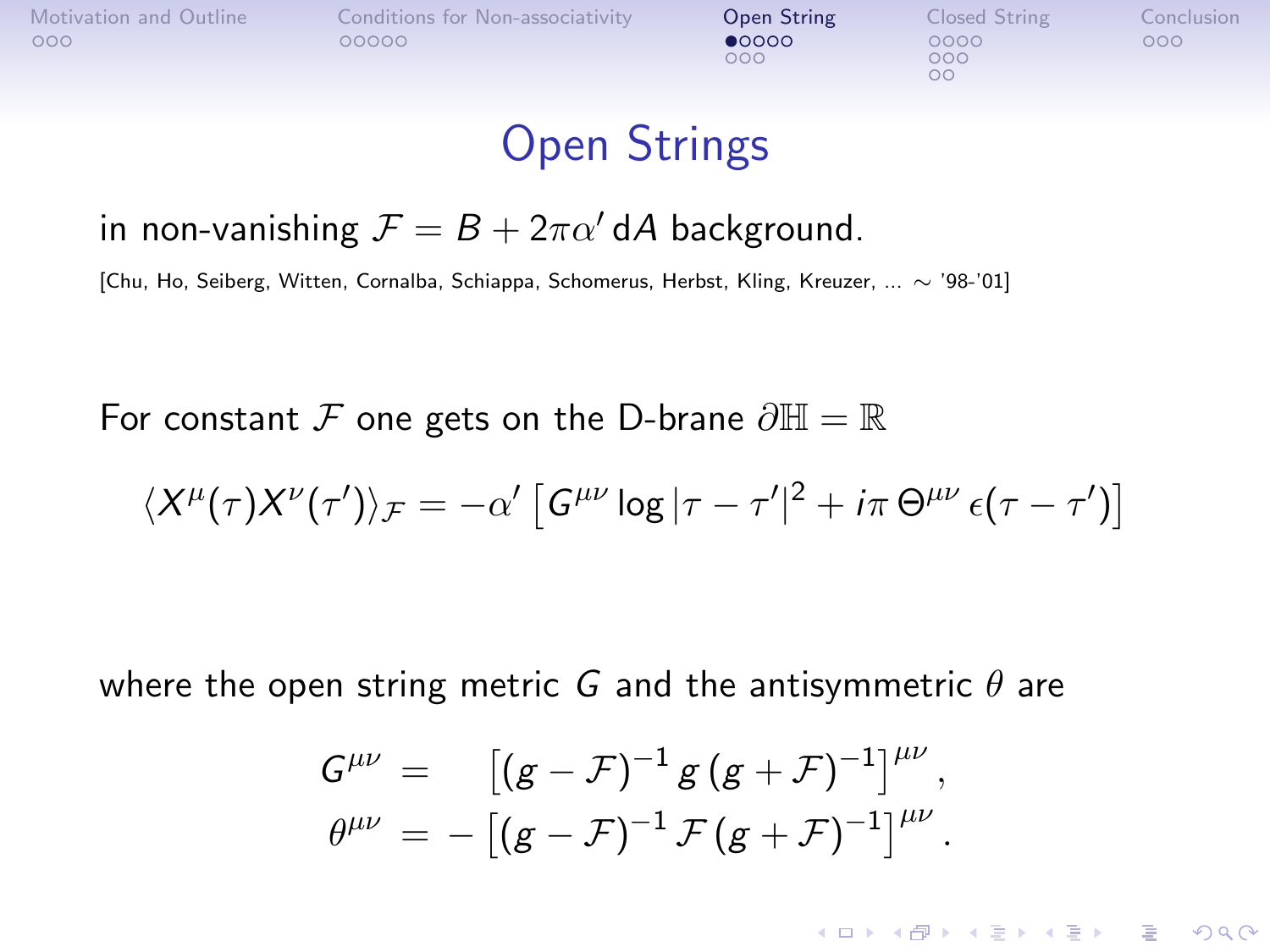<span id="page-9-0"></span>

| Motivation and Outline<br>000 | Conditions for Non-associativity<br>00000 | Open String<br>00000<br>೧೦೦ | Closed String<br>0000<br>000<br>OΟ | Conclusion<br>000 |
|-------------------------------|-------------------------------------------|-----------------------------|------------------------------------|-------------------|
|                               |                                           |                             |                                    |                   |

## Open Strings

#### in non-vanishing  $\mathcal{F} = B + 2\pi\alpha' dA$  background.

[Chu, Ho, Seiberg, Witten, Cornalba, Schiappa, Schomerus, Herbst, Kling, Kreuzer, ... ∼ '98-'01]

For constant F one gets on the D-brane  $\partial \mathbb{H} = \mathbb{R}$ 

$$
\langle X^{\mu}(\tau) X^{\nu}(\tau')\rangle_{\mathcal{F}} = -\alpha' \left[ G^{\mu\nu} \log |\tau - \tau'|^2 + i\pi \Theta^{\mu\nu} \epsilon(\tau - \tau') \right]
$$

where the open string metric G and the antisymmetric  $\theta$  are

$$
G^{\mu\nu} = [ (g - \mathcal{F})^{-1} g (g + \mathcal{F})^{-1} ]^{\mu\nu},
$$
  

$$
\theta^{\mu\nu} = - [ (g - \mathcal{F})^{-1} \mathcal{F} (g + \mathcal{F})^{-1} ]^{\mu\nu}.
$$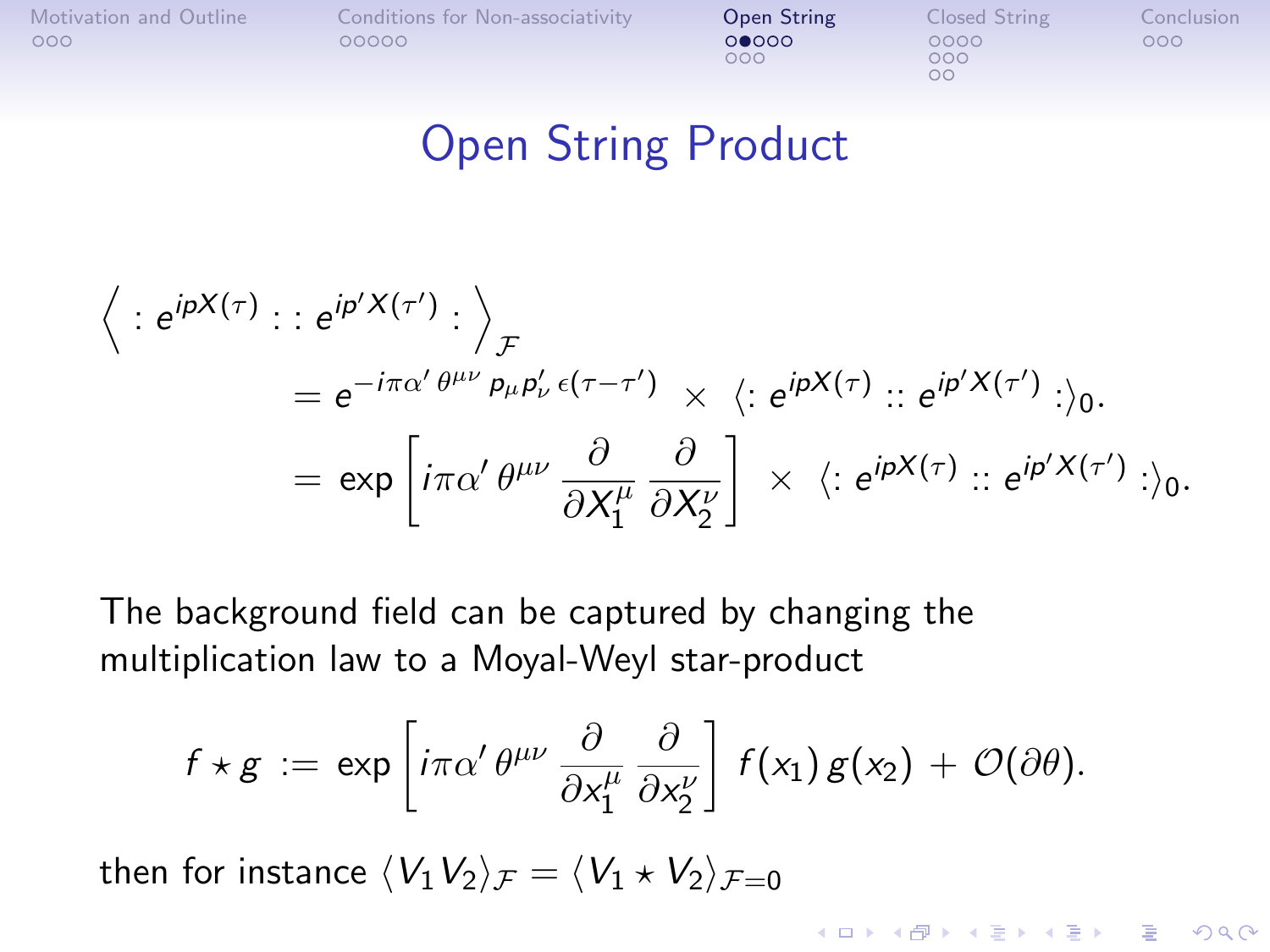[Motivation and Outline](#page-1-0) [Conditions for Non-associativity](#page-4-0) **[Open String](#page-9-0)** [Closed String](#page-17-0) [Conclusion](#page-26-0)<br>0000 0000 0000 0000 000

 $000$ 

 $000$  $\Omega$ 

## Open String Product

$$
\left\langle : e^{ipX(\tau)} : : e^{ip'X(\tau')} : \right\rangle_{\mathcal{F}}
$$
  
=  $e^{-i\pi\alpha'\theta^{\mu\nu}} P_{\mu} P'_{\nu} \epsilon(\tau - \tau') \times \langle : e^{ipX(\tau)} : : e^{ip'X(\tau')} : \rangle_0.$   
=  $\exp \left[ i\pi\alpha' \theta^{\mu\nu} \frac{\partial}{\partial X_1^{\mu}} \frac{\partial}{\partial X_2^{\nu}} \right] \times \langle : e^{ipX(\tau)} : : e^{ip'X(\tau')} : \rangle_0.$ 

The background field can be captured by changing the multiplication law to a Moyal-Weyl star-product

$$
f \star g := \exp \left[ i \pi \alpha' \theta^{\mu \nu} \frac{\partial}{\partial x_1^{\mu}} \frac{\partial}{\partial x_2^{\nu}} \right] f(x_1) g(x_2) + \mathcal{O}(\partial \theta).
$$

then for instance  $\langle V_1V_2\rangle_{\mathcal{F}} = \langle V_1 \star V_2\rangle_{\mathcal{F}=0}$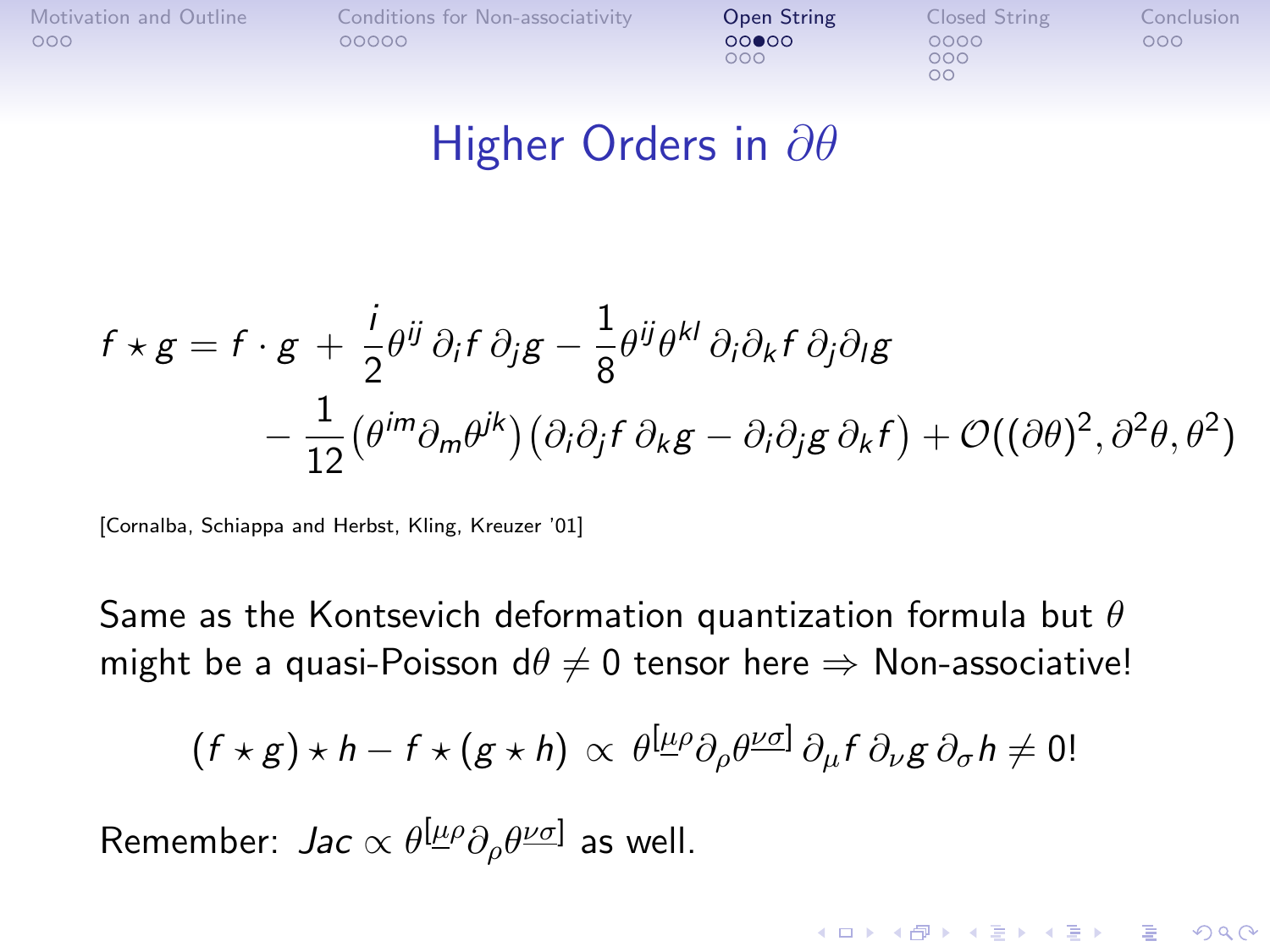| Motivation and Outline | Conditions for Non-associativity | Open String  | Closed String     | Conclusion |
|------------------------|----------------------------------|--------------|-------------------|------------|
| 000                    | 00000                            | 00000<br>000 | 0000<br>000<br>oс | 000        |

#### Higher Orders in ∂ $\theta$

$$
f \star g = f \cdot g + \frac{i}{2} \theta^{ij} \partial_i f \partial_j g - \frac{1}{8} \theta^{ij} \theta^{kl} \partial_i \partial_k f \partial_j \partial_l g
$$
  
- 
$$
\frac{1}{12} (\theta^{im} \partial_m \theta^{jk}) (\partial_i \partial_j f \partial_k g - \partial_i \partial_j g \partial_k f) + \mathcal{O}((\partial \theta)^2, \partial^2 \theta, \theta^2)
$$

[Cornalba, Schiappa and Herbst, Kling, Kreuzer '01]

Same as the Kontsevich deformation quantization formula but  $\theta$ might be a quasi-Poisson d $\theta \neq 0$  tensor here  $\Rightarrow$  Non-associative!

$$
(f \star g) \star h - f \star (g \star h) \propto \theta^{[\underline{\mu}\rho} \partial_{\rho} \theta^{\underline{\nu}\sigma]} \partial_{\mu} f \partial_{\nu} g \partial_{\sigma} h \neq 0!
$$

**KORKAR KERKER E VOOR** 

Remember: *Jac*  $\propto \theta^{[\underline{\mu}\rho}\partial_{\rho}\theta^{\underline{\nu}\sigma]}$  as well.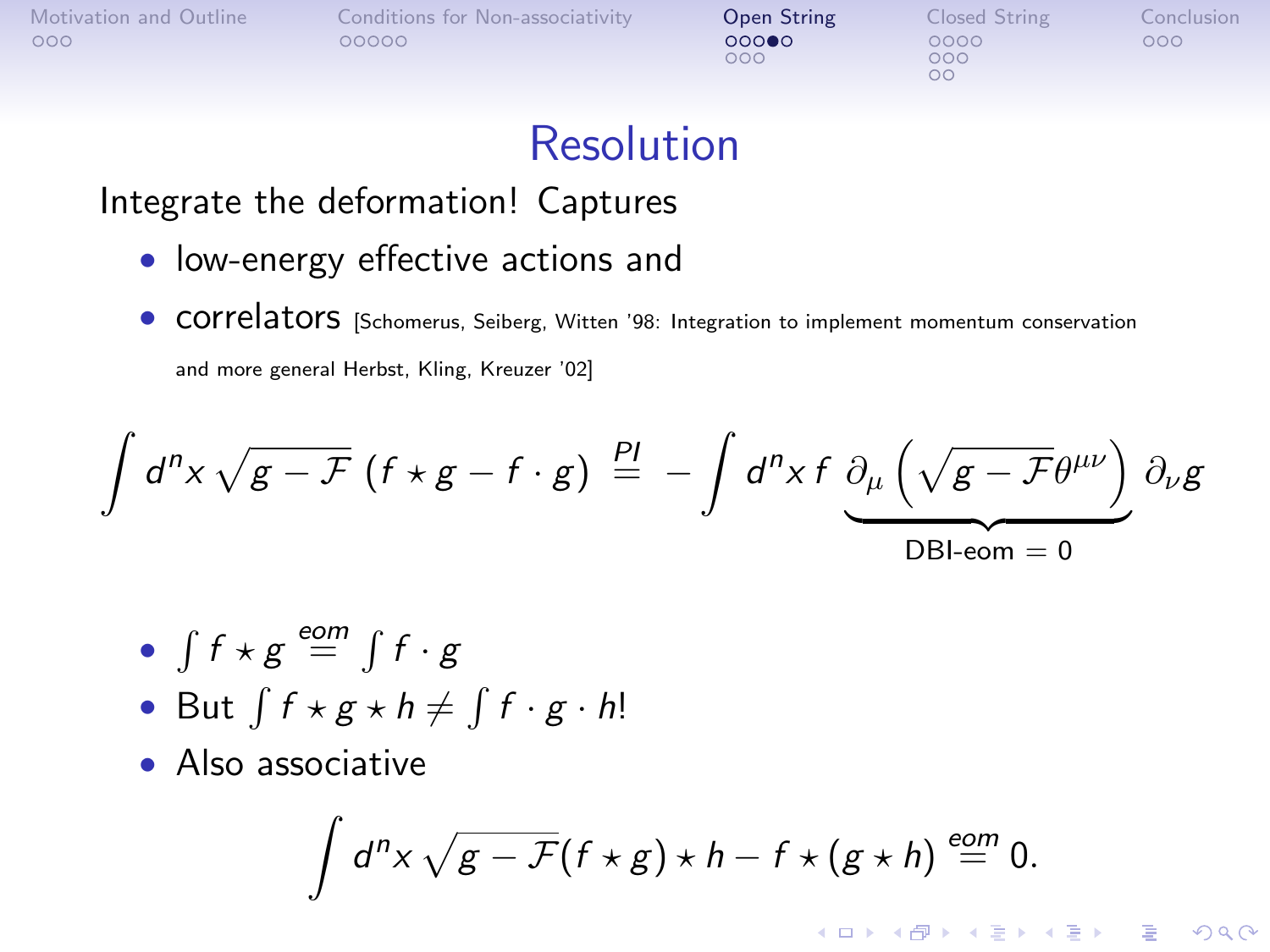| Motivation and Outline | Conditions for Non-associativity | Open String  | Closed String | Conclusion |
|------------------------|----------------------------------|--------------|---------------|------------|
| 000                    | 00000                            | 00000<br>000 | 0000<br>000   | 000        |
|                        |                                  |              | ОC            |            |

### Resolution

#### Integrate the deformation! Captures

- low-energy effective actions and
- **COTTE ATOTS** [Schomerus, Seiberg, Witten '98: Integration to implement momentum conservation and more general Herbst, Kling, Kreuzer '02]

$$
\int d^{n}x \sqrt{g-F} \left(f \star g-f \cdot g\right) \stackrel{PI}{=} - \int d^{n}x f \underbrace{\partial_{\mu} \left(\sqrt{g-F} \theta^{\mu \nu}\right)}_{\text{DBL-comp}} \partial_{\nu}g
$$

• 
$$
\int f \star g \stackrel{eom}{=} \int f \cdot g
$$

• But 
$$
\int f \star g \star h \neq \int f \cdot g \cdot h!
$$

• Also associative

$$
\int d^n x \sqrt{g-F}(f\star g)\star h-f\star (g\star h)\stackrel{eom}{=} 0.
$$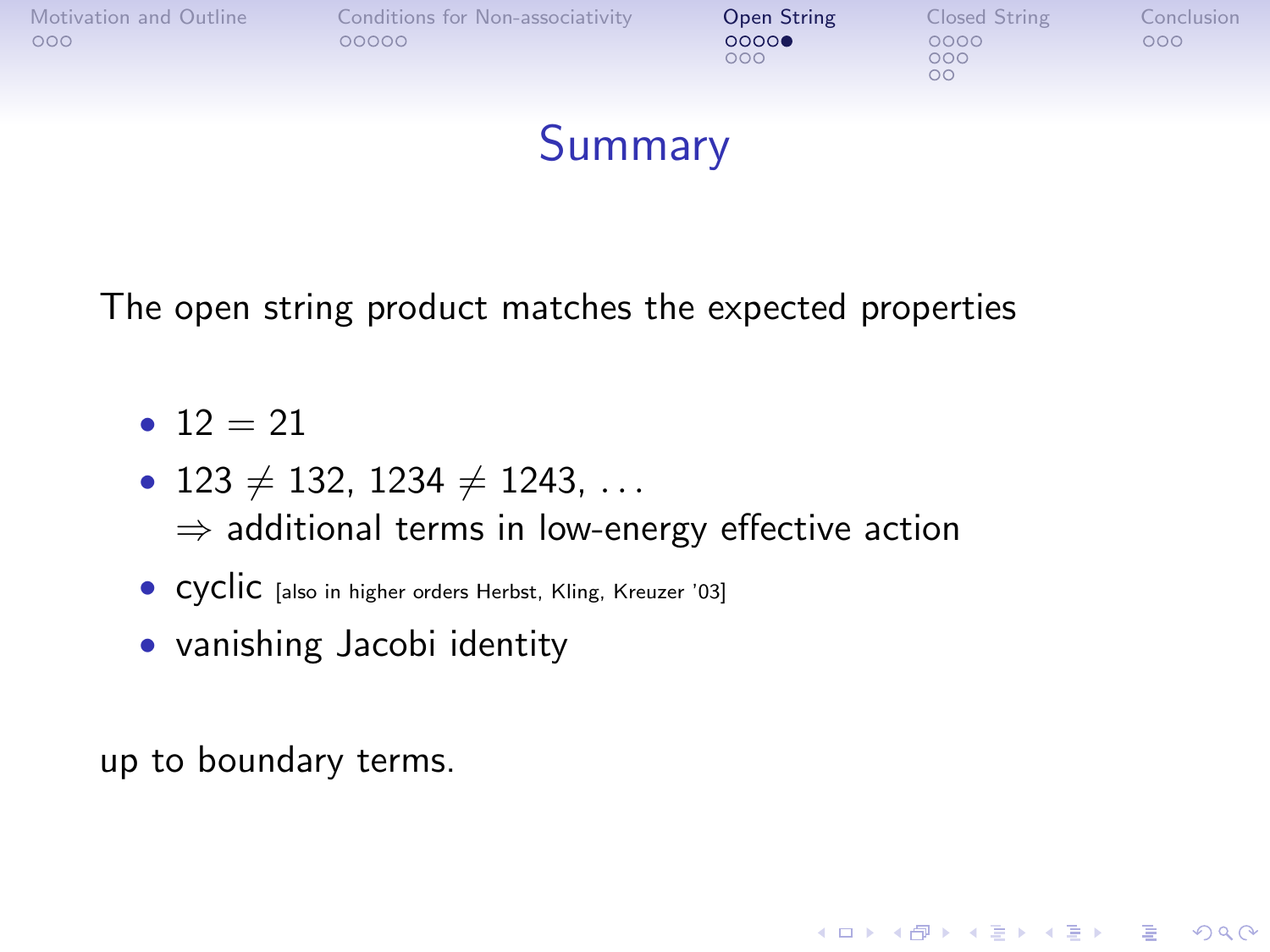| Motivation and Outline<br>000 | Conditions for Non-associativity<br>00000 | Open String<br>0000<br>000 | Closed String<br>0000<br>000<br>OΟ | Conclusion<br>000 |
|-------------------------------|-------------------------------------------|----------------------------|------------------------------------|-------------------|
|                               |                                           |                            |                                    |                   |

### **Summary**

**KORKA SERKER ORA** 

The open string product matches the expected properties

- $12 = 21$
- 123  $\neq$  132, 1234  $\neq$  1243, ...  $\Rightarrow$  additional terms in low-energy effective action
- CYCIIC [also in higher orders Herbst, Kling, Kreuzer '03]
- vanishing Jacobi identity

up to boundary terms.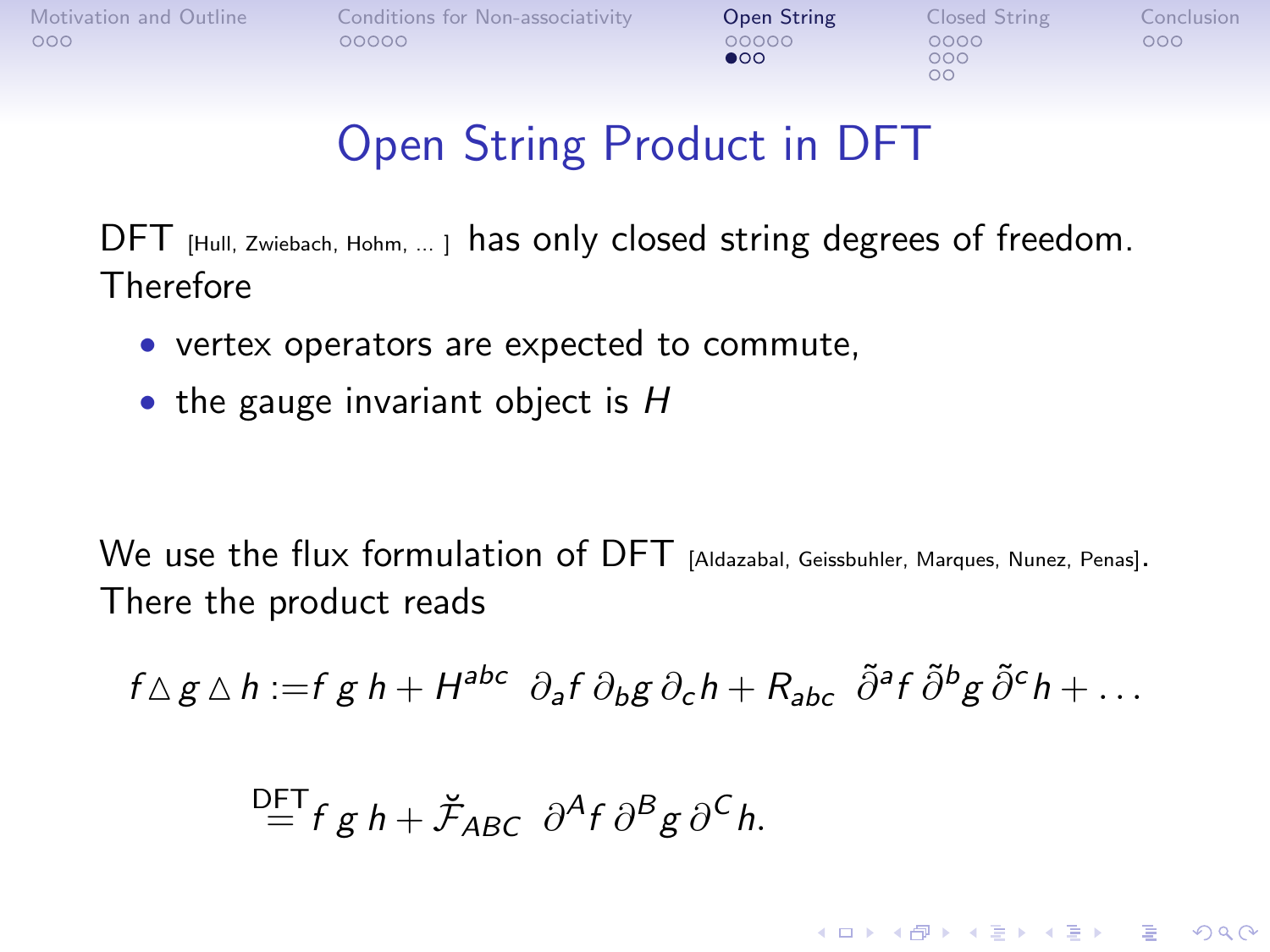**KORK STRATER STRAKER** 

# Open String Product in DFT

DFT [Hull, Zwiebach, Hohm, ... ] has only closed string degrees of freedom. Therefore

- vertex operators are expected to commute,
- the gauge invariant object is  $H$

We use the flux formulation of DFT [Aldazabal, Geissbuhler, Marques, Nunez, Penas]. There the product reads

$$
f\Delta g\Delta h:=f\,g\,h+H^{abc}\partial_a f\,\partial_b g\,\partial_c h+R_{abc}\tilde{\partial}^a f\tilde{\partial}^b g\tilde{\partial}^c h+\dots
$$

$$
\stackrel{\mathsf{DFT}}{=} f g h + \breve{\mathcal{F}}_{ABC} \partial^A f \partial^B g \partial^C h.
$$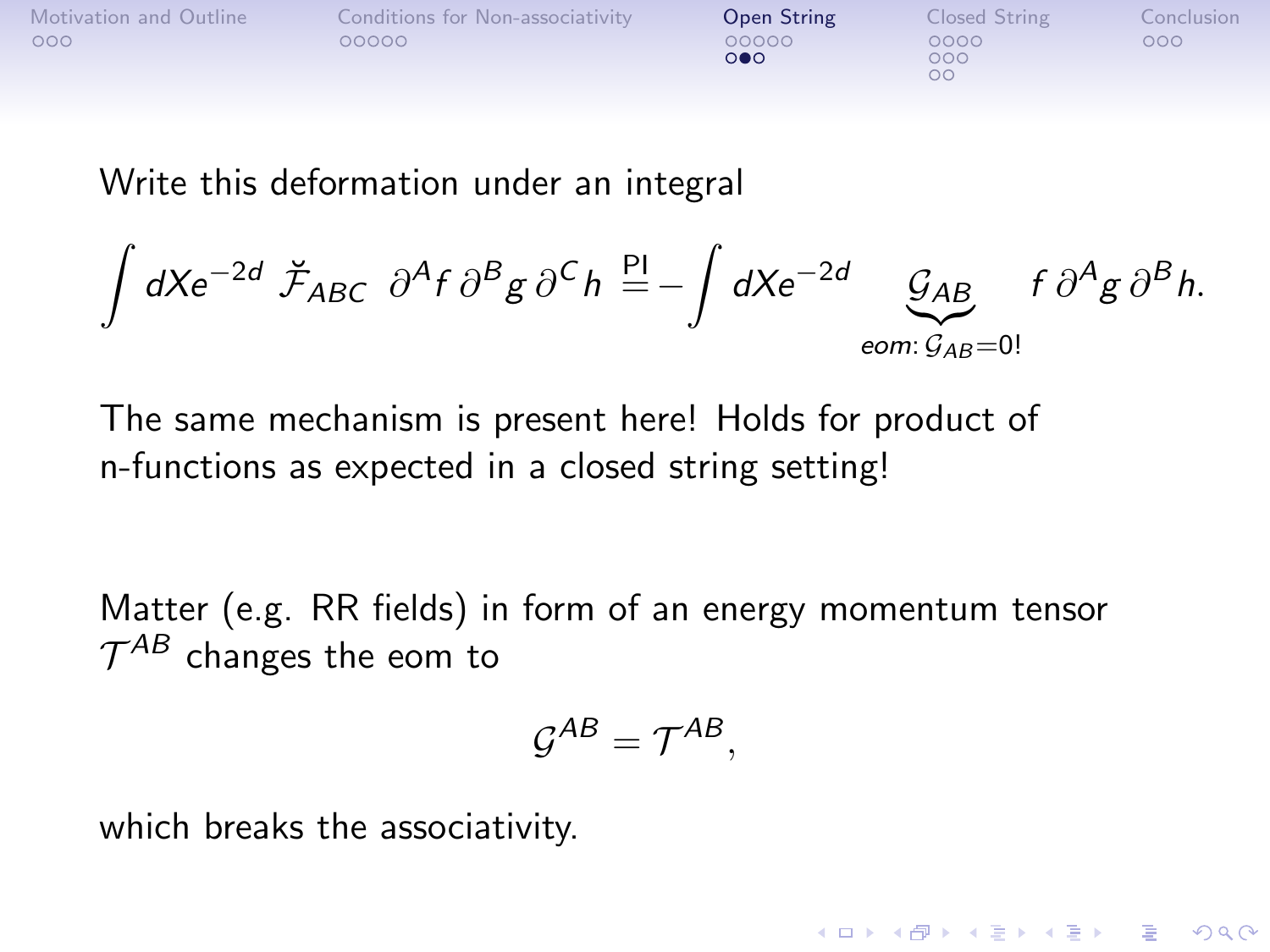| Motivation and Outline | Conditions for Non-associativity | Open String                    | Closed String     | Conclusion |
|------------------------|----------------------------------|--------------------------------|-------------------|------------|
| 000                    | 00000                            | 00000<br>$\circ \bullet \circ$ | 0000<br>000<br>oс | 000        |

Write this deformation under an integral

$$
\int dX e^{-2d} \ \breve{\mathcal{F}}_{ABC} \ \partial^A f \ \partial^B g \ \partial^C h \stackrel{\text{Pl}}{=} -\int dX e^{-2d} \underbrace{\mathcal{G}_{AB}}_{\text{eom}: \ \mathcal{G}_{AB}=0!} f \ \partial^A g \ \partial^B h.
$$

The same mechanism is present here! Holds for product of n-functions as expected in a closed string setting!

Matter (e.g. RR fields) in form of an energy momentum tensor  $\mathcal{T}^{AB}$  changes the eom to

$$
\mathcal{G}^{AB}=\mathcal{T}^{AB},
$$

**KORKA SERKER ORA** 

which breaks the associativity.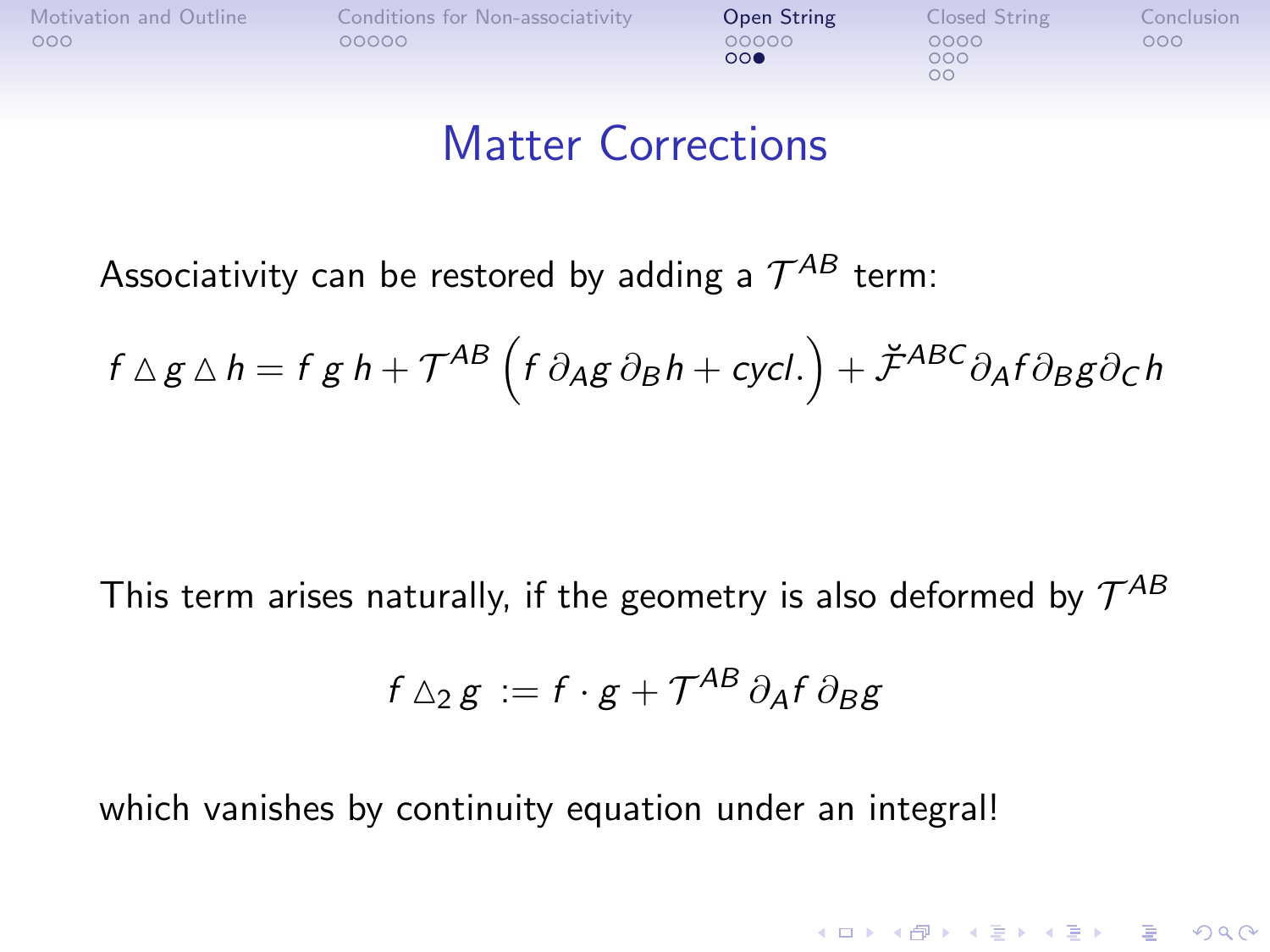$000$ 

 $\circ$ 

**KORK STRATER STRAKER** 

### Matter Corrections

Associativity can be restored by adding a  $\mathcal{T}^{AB}$  term:

$$
f \triangle g \triangle h = f g h + T^{AB} (f \partial_A g \partial_B h + \text{cycl.}) + \breve{\mathcal{F}}^{ABC} \partial_A f \partial_B g \partial_C h
$$

This term arises naturally, if the geometry is also deformed by  $\mathcal{T}^{AB}$ 

$$
f \triangle_2 g := f \cdot g + \mathcal{T}^{AB} \partial_A f \partial_B g
$$

which vanishes by continuity equation under an integral!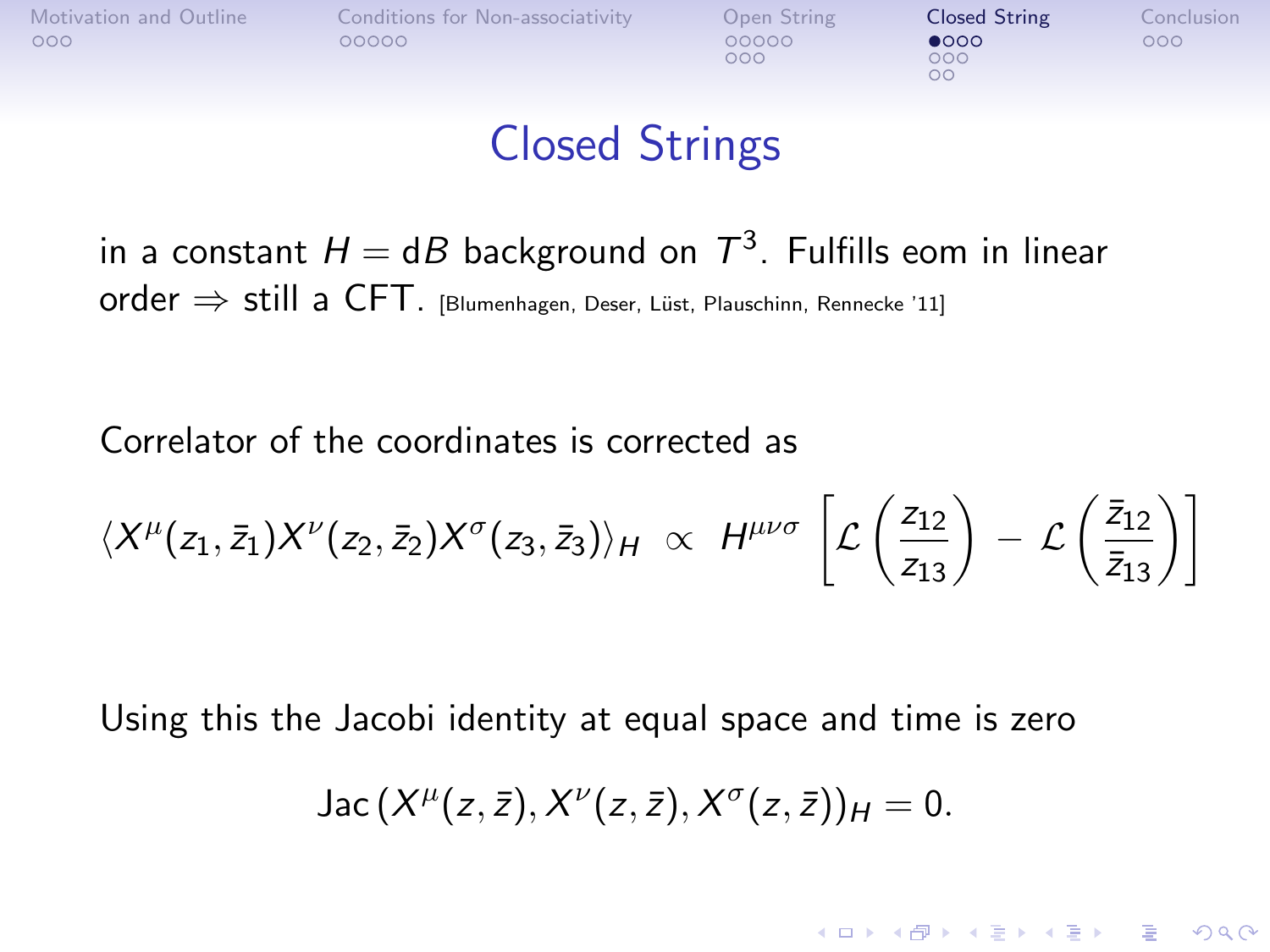<span id="page-17-0"></span>

 $000$ 

 $000$  $\Omega$ 

## Closed Strings

in a constant  $H = \mathsf{d} B$  background on  $\mathcal{T}^3$ . Fulfills eom in linear  $order \Rightarrow still$  a CFT. [Blumenhagen, Deser, Lüst, Plauschinn, Rennecke '11]

Correlator of the coordinates is corrected as

$$
\langle X^{\mu}(z_1,\bar{z}_1)X^{\nu}(z_2,\bar{z}_2)X^{\sigma}(z_3,\bar{z}_3)\rangle_H \propto H^{\mu\nu\sigma}\left[\mathcal{L}\left(\frac{z_{12}}{z_{13}}\right) - \mathcal{L}\left(\frac{\bar{z}_{12}}{\bar{z}_{13}}\right)\right]
$$

Using this the Jacobi identity at equal space and time is zero

Jac 
$$
(X^{\mu}(z,\bar{z}), X^{\nu}(z,\bar{z}), X^{\sigma}(z,\bar{z}))_{H} = 0.
$$

**KORK STRATER STRAKER**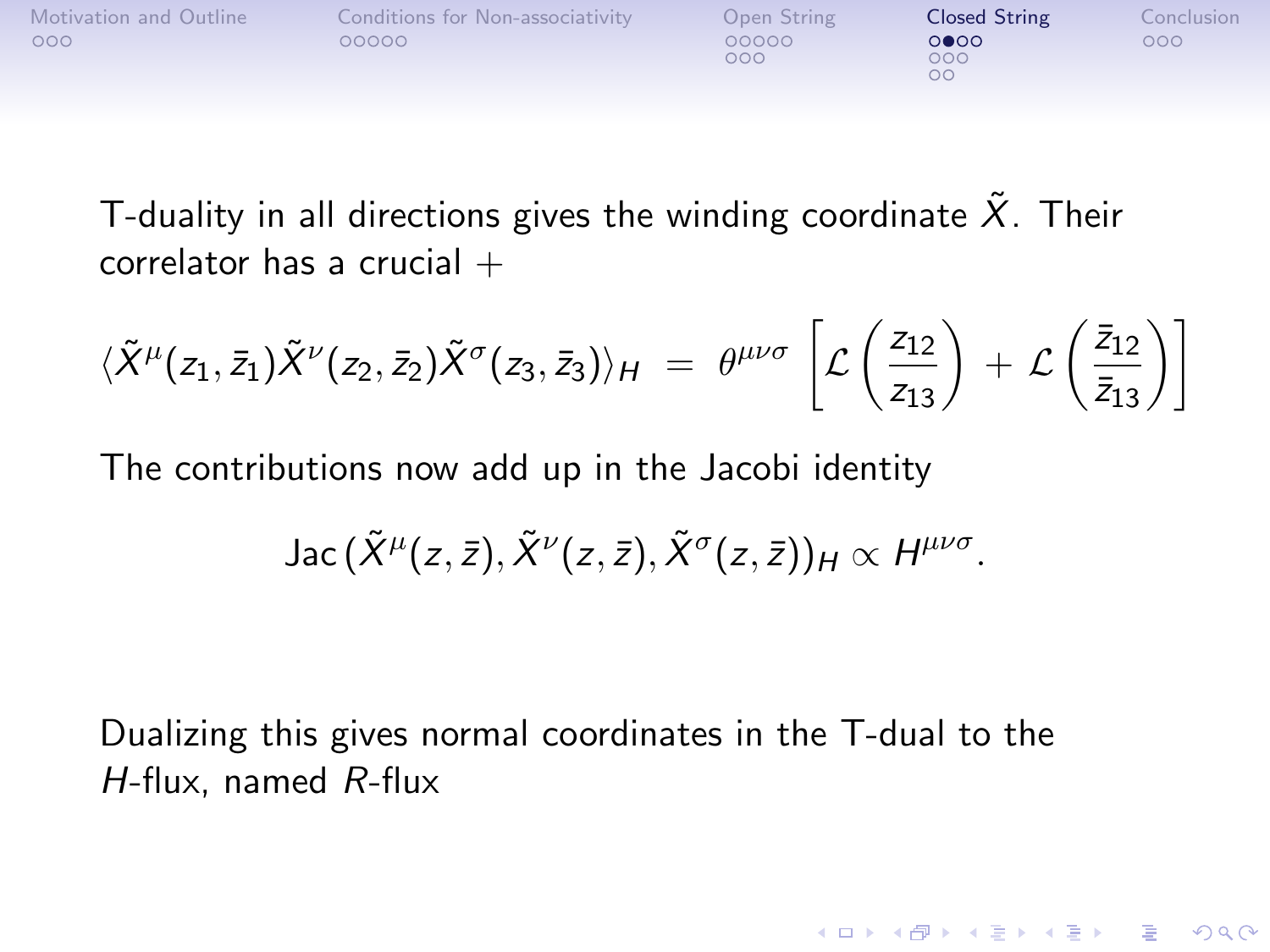| Motivation and Outline<br>Conditions for Non-associativity<br>000<br>00000 | Open String<br>00000<br>000 | Closed String<br>0000<br>000<br>ОC | Conclusion<br>000 |
|----------------------------------------------------------------------------|-----------------------------|------------------------------------|-------------------|
|----------------------------------------------------------------------------|-----------------------------|------------------------------------|-------------------|

T-duality in all directions gives the winding coordinate  $\tilde{X}$ . Their correlator has a crucial  $+$ 

$$
\langle \tilde{X}^{\mu}(z_1,\bar{z}_1)\tilde{X}^{\nu}(z_2,\bar{z}_2)\tilde{X}^{\sigma}(z_3,\bar{z}_3)\rangle_H = \theta^{\mu\nu\sigma}\,\left[\mathcal{L}\left(\frac{z_{12}}{z_{13}}\right) + \mathcal{L}\left(\frac{\bar{z}_{12}}{\bar{z}_{13}}\right)\right]
$$

The contributions now add up in the Jacobi identity

Jac 
$$
(\tilde{X}^{\mu}(z,\bar{z}), \tilde{X}^{\nu}(z,\bar{z}), \tilde{X}^{\sigma}(z,\bar{z}))_{H} \propto H^{\mu\nu\sigma}
$$
.

**KORKA SERKER ORA** 

Dualizing this gives normal coordinates in the T-dual to the H-flux, named R-flux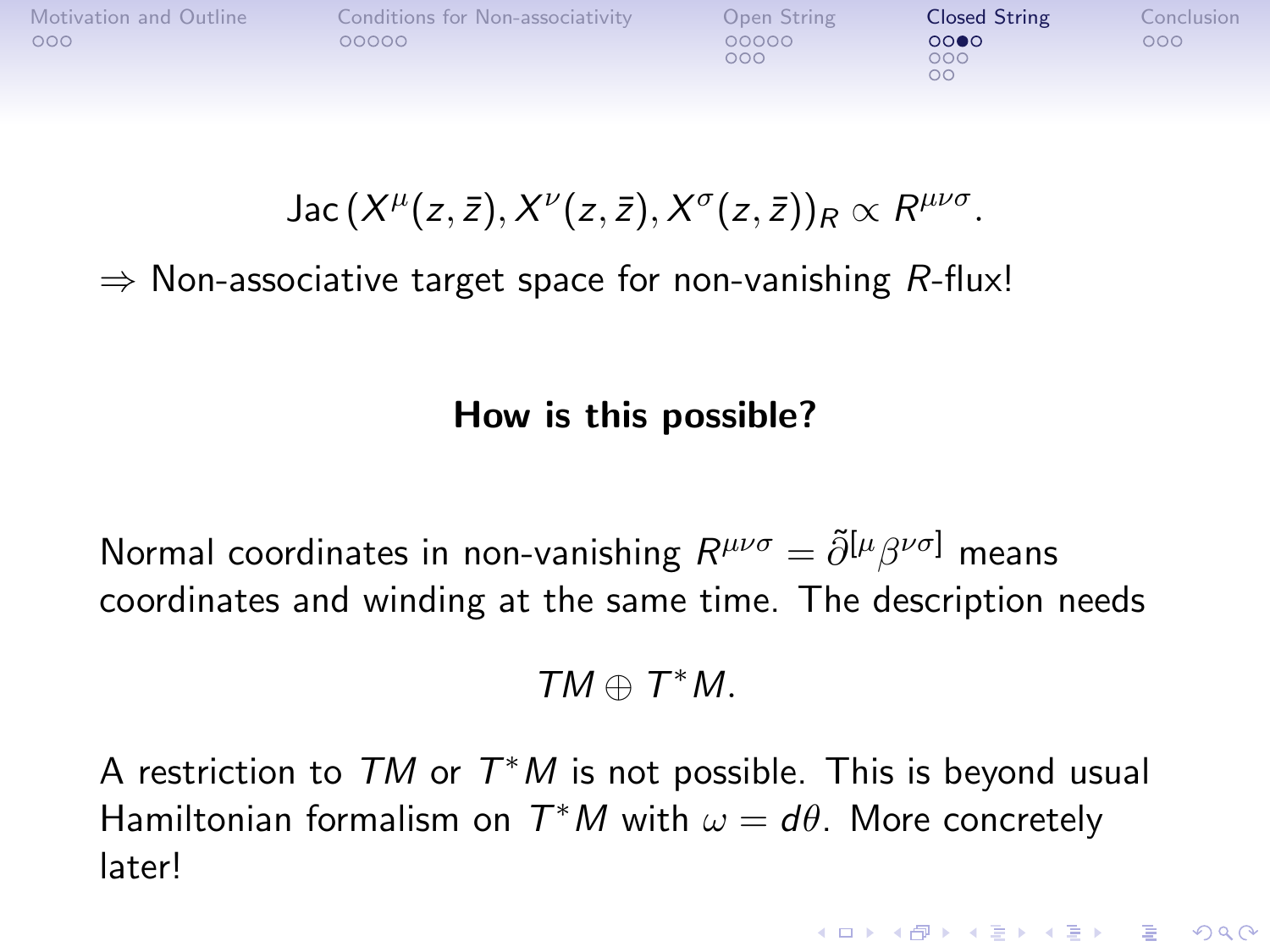| Motivation and Outline | Conditions for Non-associativity | Open String  | <b>Closed String</b> | Conclusion |
|------------------------|----------------------------------|--------------|----------------------|------------|
| 000                    | 00000                            | 00000<br>000 | 0000<br>000<br>oс    | 000        |

 $\mathsf{Jac}\, (X^\mu(z,\bar{z}), X^\nu(z,\bar{z}), X^\sigma(z,\bar{z}))_R \propto R^{\mu\nu\sigma}.$ 

 $\Rightarrow$  Non-associative target space for non-vanishing R-flux!

How is this possible?

Normal coordinates in non-vanishing  $R^{\mu\nu\sigma}=\tilde{\partial}^{[\mu}\beta^{\nu\sigma]}$  means coordinates and winding at the same time. The description needs

 $TM \oplus T^*M$ .

A restriction to  $TM$  or  $T^*M$  is not possible. This is beyond usual Hamiltonian formalism on  $T^*M$  with  $\omega = d\theta$ . More concretely later!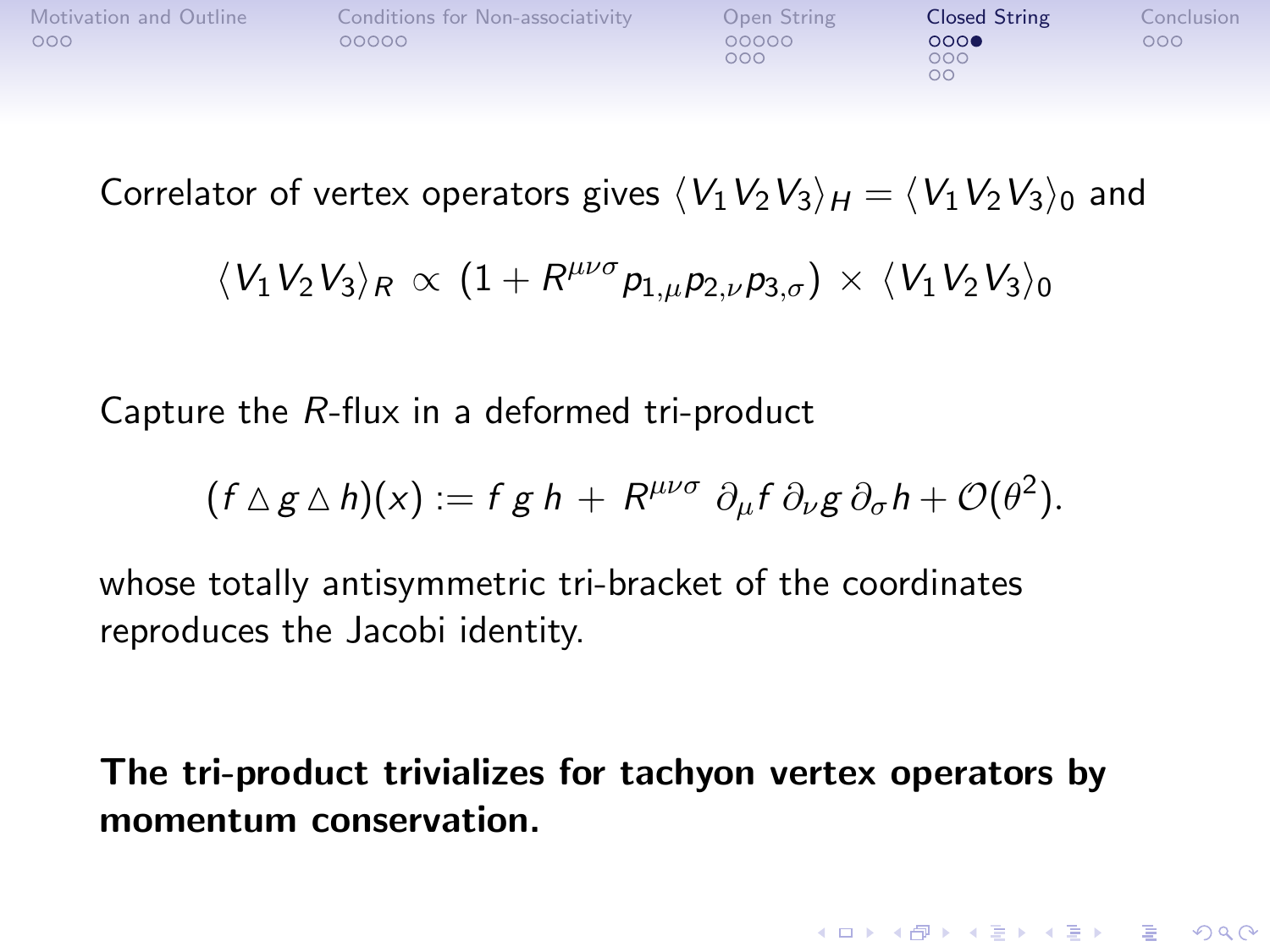| Motivation and Outline<br>Conditions for Non-associativity<br>000<br>00000 | Open String<br>00000<br>000 | Closed String<br>0000<br>000<br>oс | Conclusion<br>000 |
|----------------------------------------------------------------------------|-----------------------------|------------------------------------|-------------------|
|----------------------------------------------------------------------------|-----------------------------|------------------------------------|-------------------|

Correlator of vertex operators gives  $\langle V_1V_2V_3\rangle_H = \langle V_1V_2V_3\rangle_0$  and

$$
\langle V_1 V_2 V_3 \rangle_R \propto (1 + R^{\mu\nu\sigma} p_{1,\mu} p_{2,\nu} p_{3,\sigma}) \times \langle V_1 V_2 V_3 \rangle_0
$$

Capture the R-flux in a deformed tri-product

$$
(f \triangle g \triangle h)(x) := f g h + R^{\mu\nu\sigma} \partial_{\mu} f \partial_{\nu} g \partial_{\sigma} h + \mathcal{O}(\theta^2).
$$

whose totally antisymmetric tri-bracket of the coordinates reproduces the Jacobi identity.

The tri-product trivializes for tachyon vertex operators by momentum conservation.

**KORK ERKER ADE YOUR**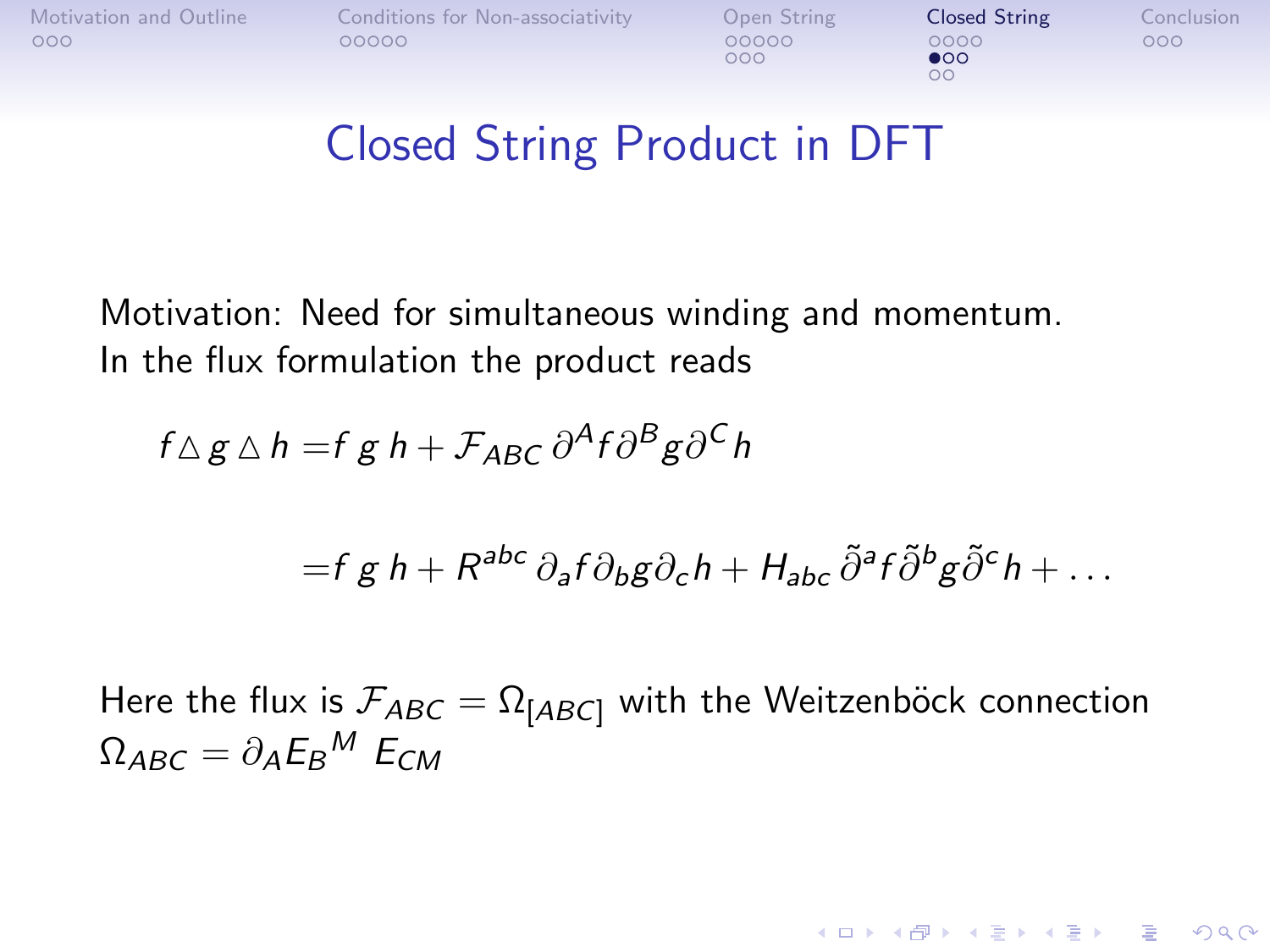$000$ 

 $\bullet$ 00 OO.

**KORK ERKER ADE YOUR** 

## Closed String Product in DFT

Motivation: Need for simultaneous winding and momentum. In the flux formulation the product reads

$$
f \Delta g \Delta h = f g h + \mathcal{F}_{ABC} \partial^A f \partial^B g \partial^C h
$$

$$
= f g h + R^{abc} \partial_a f \partial_b g \partial_c h + H_{abc} \tilde{\partial}^a f \tilde{\partial}^b g \tilde{\partial}^c h + \dots
$$

Here the flux is  $\mathcal{F}_{ABC} = \Omega_{[ABC]}$  with the Weitzenböck connection  $\Omega_{ABC}=\partial_A E_B{}^M\; E_{CM}$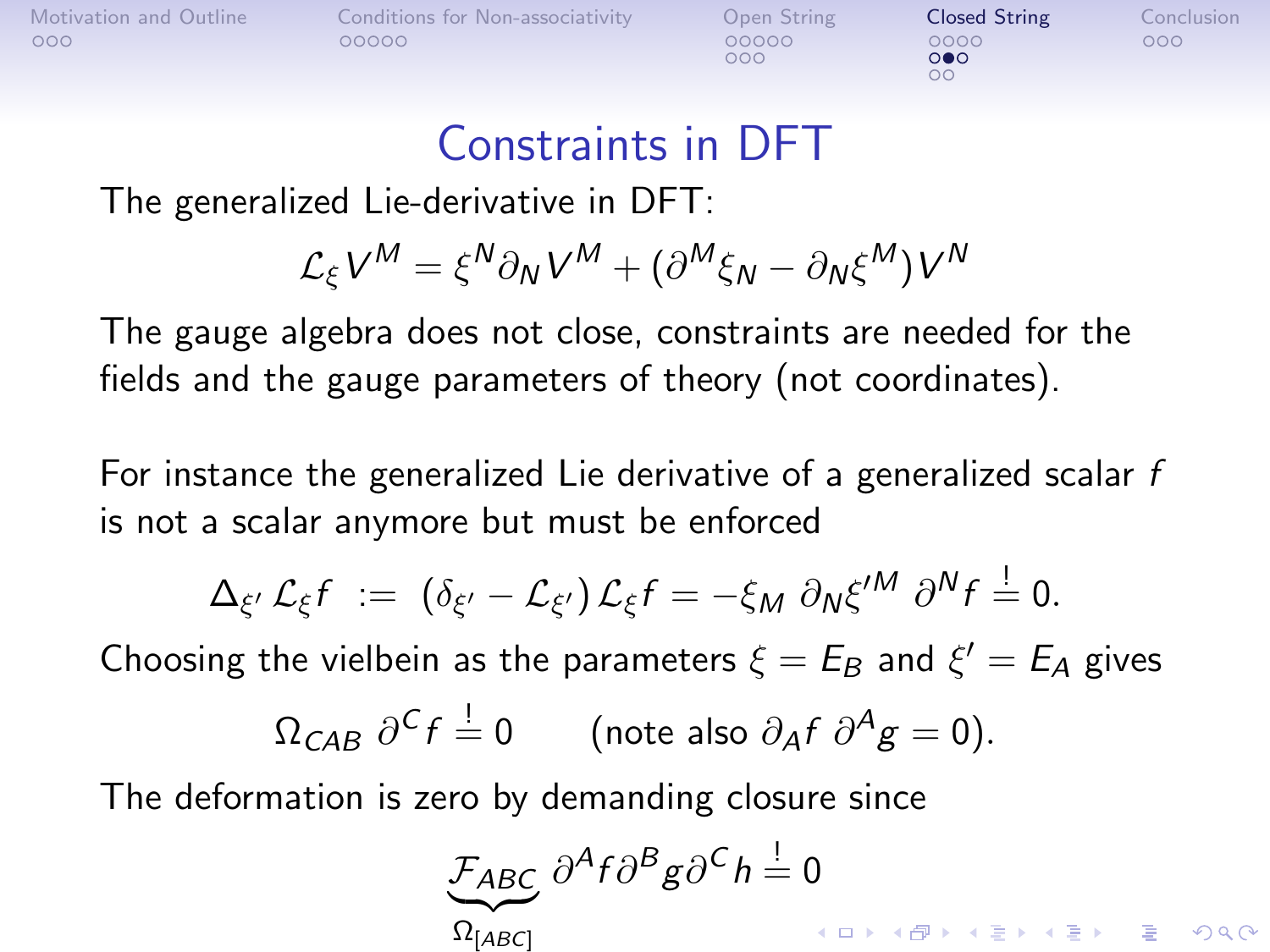$000$ 

 $\circ \bullet \circ$ 

#### Constraints in DFT

The generalized Lie-derivative in DFT:

$$
\mathcal{L}_{\xi}V^{M} = \xi^{N}\partial_{N}V^{M} + (\partial^{M}\xi_{N} - \partial_{N}\xi^{M})V^{N}
$$

The gauge algebra does not close, constraints are needed for the fields and the gauge parameters of theory (not coordinates).

For instance the generalized Lie derivative of a generalized scalar  $f$ is not a scalar anymore but must be enforced

$$
\Delta_{\xi'} \mathcal{L}_{\xi} f \; := \; \left( \delta_{\xi'} - \mathcal{L}_{\xi'} \right) \mathcal{L}_{\xi} f = - \xi_M \; \partial_N \xi^{\prime M} \; \partial^N f \stackrel{!}{=} 0.
$$

Choosing the vielbein as the parameters  $\xi = E_B$  and  $\xi' = E_A$  gives

$$
\Omega_{CAB} \ \partial^C f = 0 \qquad \text{(note also } \partial_A f \ \partial^A g = 0\text{)}.
$$

The deformation is zero by demanding closure since

$$
\underbrace{\mathcal{F}_{ABC}}_{\Omega_{[ABC]}} \frac{\partial^A f \partial^B g}{\partial^C h} = 0
$$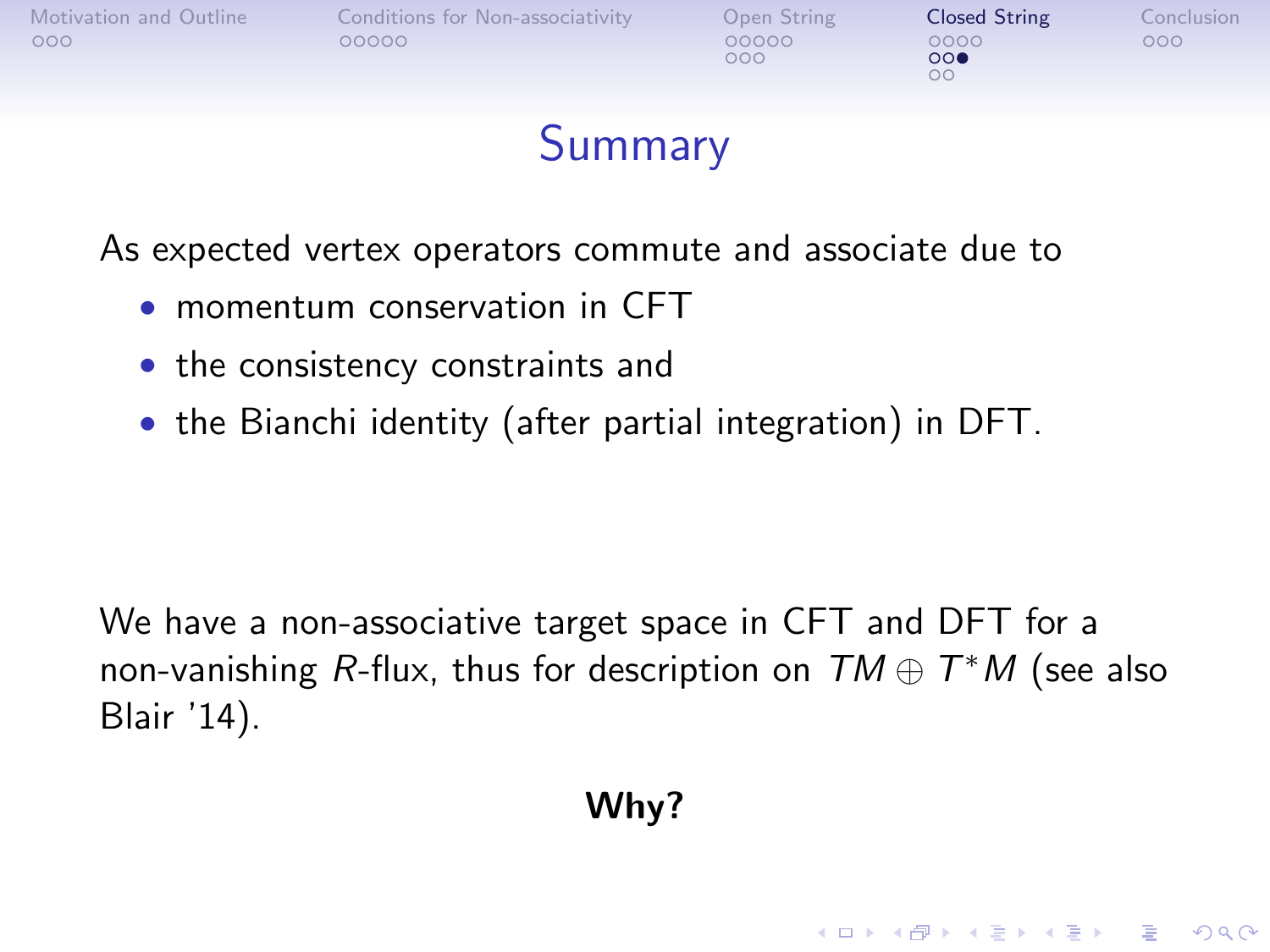

### Summary

As expected vertex operators commute and associate due to

- momentum conservation in CFT
- the consistency constraints and
- the Bianchi identity (after partial integration) in DFT.

We have a non-associative target space in CFT and DFT for a non-vanishing R-flux, thus for description on  $\mathit{TM} \oplus \mathit{T}^*M$  (see also Blair '14).

#### Why?

**KORK ERKER ADE YOUR**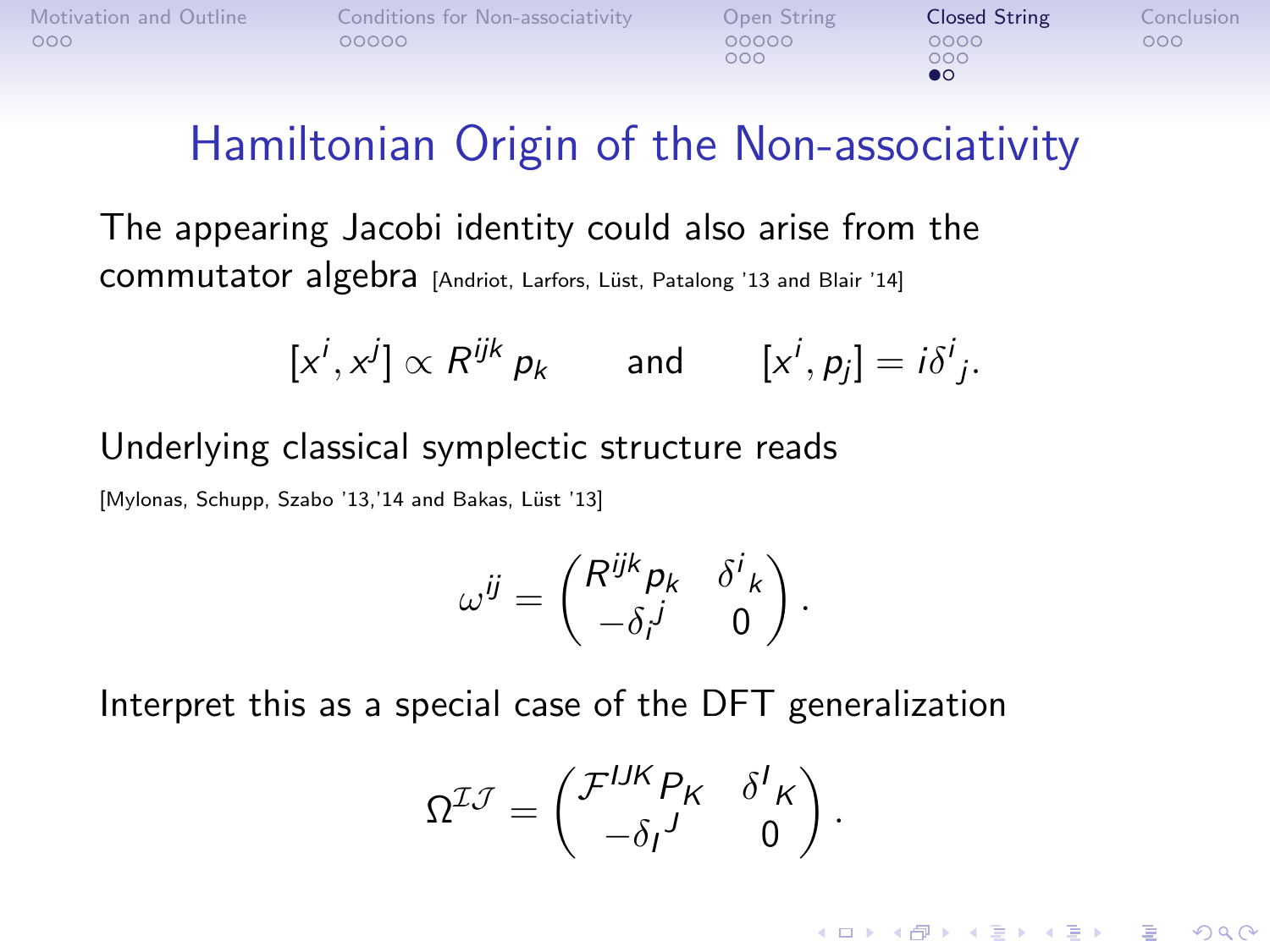$000$ 

 $000$ 

**KORK ERKER ADE YOUR** 

### Hamiltonian Origin of the Non-associativity

The appearing Jacobi identity could also arise from the commutator algebra [Andriot, Larfors, Lüst, Patalong '13 and Blair '14]

$$
[x^i, x^j] \propto R^{ijk} p_k \quad \text{and} \quad [x^i, p_j] = i \delta^i_j.
$$

Underlying classical symplectic structure reads

[Mylonas, Schupp, Szabo '13,'14 and Bakas, Lüst '13]

$$
\omega^{ij} = \begin{pmatrix} R^{ijk} p_k & \delta^i{}_k \\ -\delta_i^j & 0 \end{pmatrix}.
$$

Interpret this as a special case of the DFT generalization

$$
\Omega^{\mathcal{I}\mathcal{J}} = \begin{pmatrix} \mathcal{F}^{IJK} P_K & \delta^I{}_K \\ -\delta_I{}^J & 0 \end{pmatrix}.
$$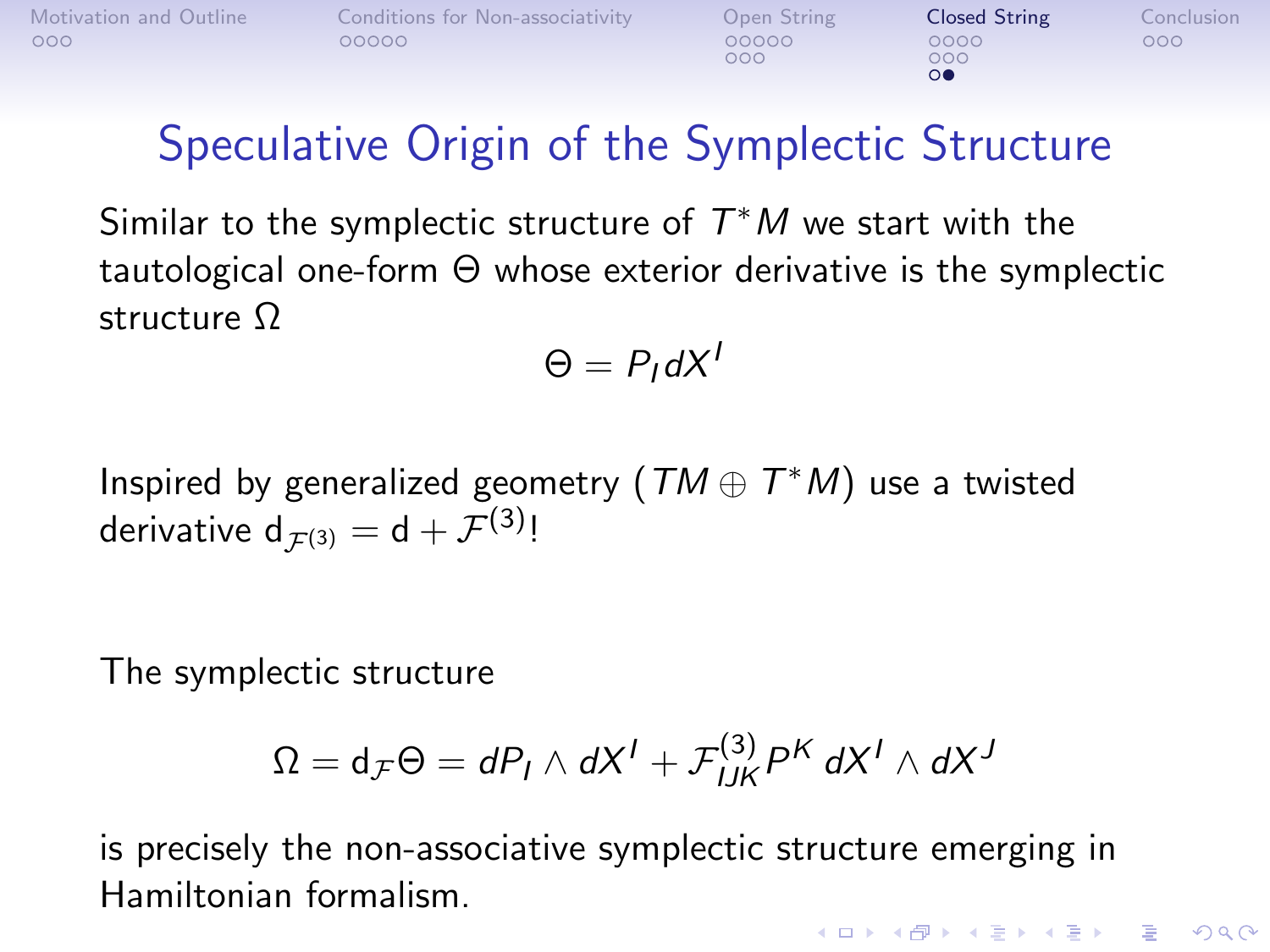<span id="page-25-0"></span>

| Motivation and Outline | Conditions for Non-associativity | Open String | <b>Closed String</b> | Conclusion |
|------------------------|----------------------------------|-------------|----------------------|------------|
| 000                    | 00000                            | 00000       | 0000                 | 000        |

 $000$ 

# Speculative Origin of the Symplectic Structure

Similar to the symplectic structure of  $T^*M$  we start with the tautological one-form Θ whose exterior derivative is the symplectic structure Ω

$$
\Theta = P_{I}dX^{I}
$$

Inspired by generalized geometry  $(\mathit{TM} \oplus \mathit{T}^*M)$  use a twisted derivative  $\mathsf{d}_{\mathcal{F}^{(3)}} = \mathsf{d} + \mathcal{F}^{(3)}$ !

The symplectic structure

$$
\Omega = \mathrm{d}_{\mathcal{F}}\Theta = dP_I \wedge dX^I + \mathcal{F}_{IJK}^{(3)}P^K dX^I \wedge dX^J
$$

is precisely the non-associative symplectic structure emerging in Hamiltonian formalism.**KORK ERKER ADE YOUR**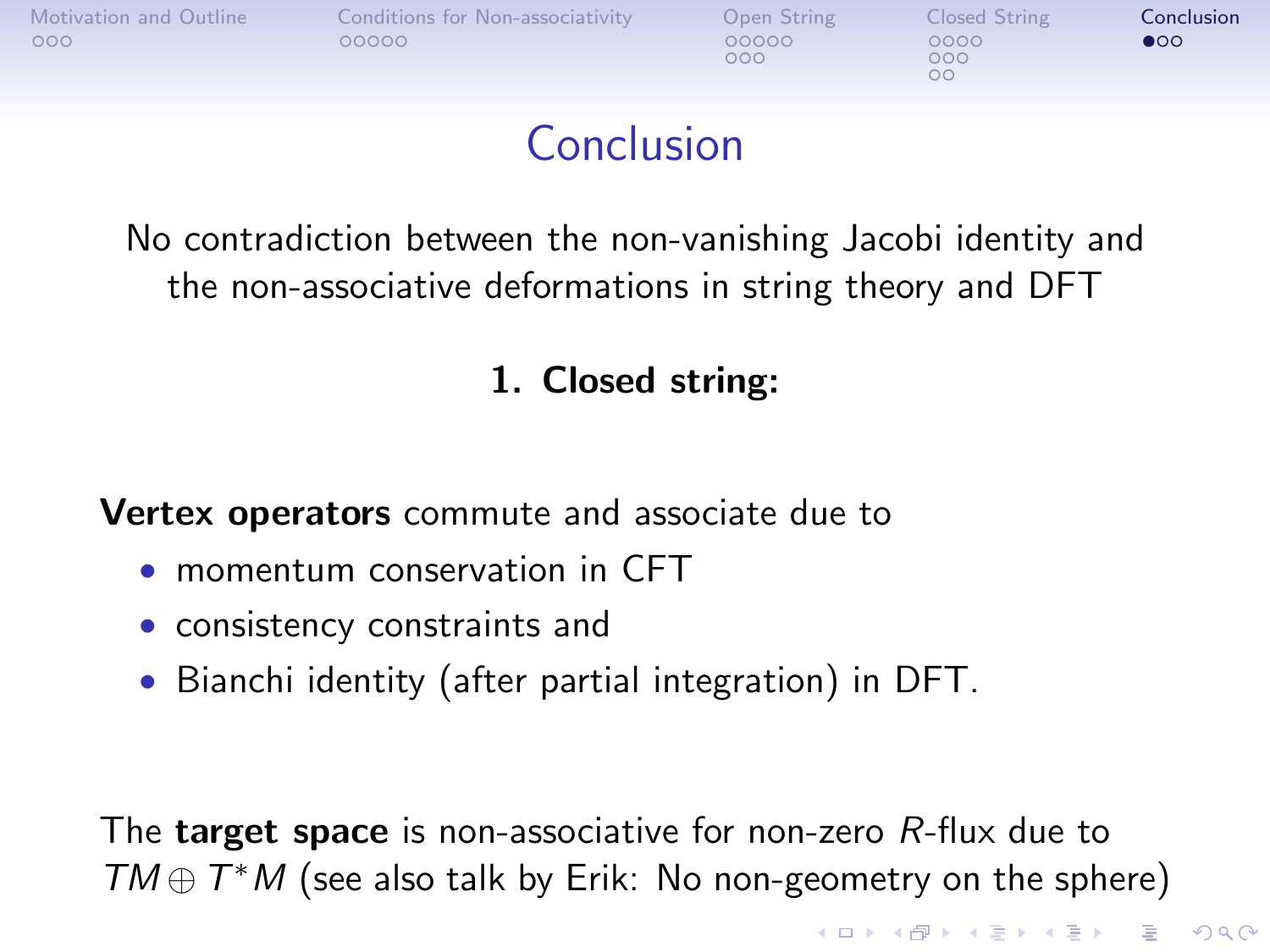<span id="page-26-0"></span>

 $000$ 

 $000$ 

**KOD KARD KED KED E YORA** 

# Conclusion

No contradiction between the non-vanishing Jacobi identity and the non-associative deformations in string theory and DFT

#### 1. Closed string:

Vertex operators commute and associate due to

- momentum conservation in CFT
- consistency constraints and
- Bianchi identity (after partial integration) in DFT.

The **target space** is non-associative for non-zero R-flux due to  $TM \oplus T^*M$  (see also talk by Erik: No non-geometry on the sphere)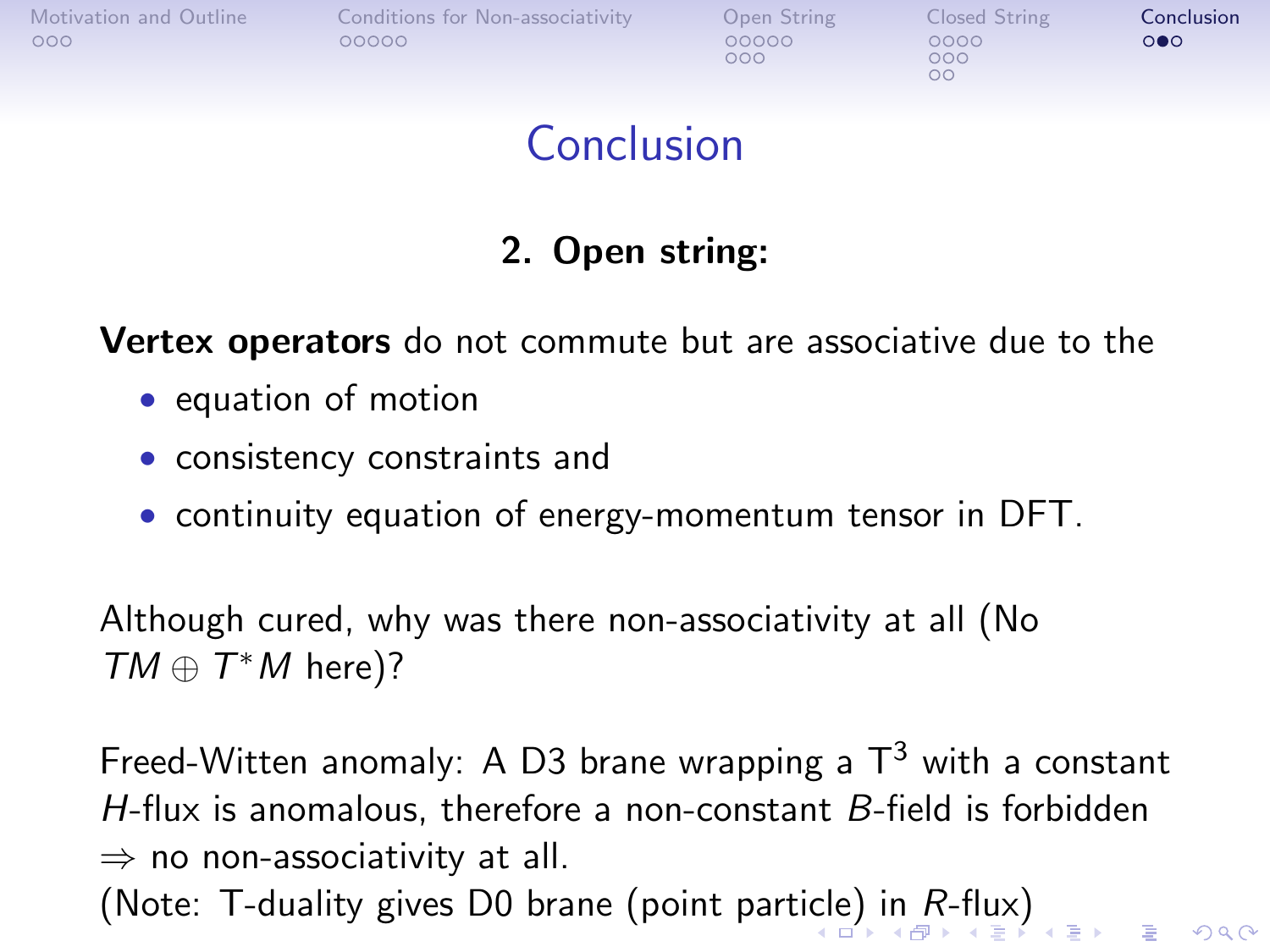<span id="page-27-0"></span>

| Motivation and Outline |  |
|------------------------|--|
| 000                    |  |

[Conditions for Non-associativity](#page-4-0) [Open String](#page-9-0) Consed String [Conclusion](#page-26-0)<br>  $\overline{O}$ 

 $000$ 

 $000$ 

### Conclusion

#### 2. Open string:

**Vertex operators** do not commute but are associative due to the

- equation of motion
- consistency constraints and
- continuity equation of energy-momentum tensor in DFT.

Although cured, why was there non-associativity at all (No  $TM \oplus T^*M$  here)?

Freed-Witten anomaly: A D3 brane wrapping a  $T^3$  with a constant H-flux is anomalous, therefore a non-constant  $B$ -field is forbidden  $\Rightarrow$  no non-associativity at all. (Note: T-duality gives D0 brane (point parti[cle](#page-26-0)[\) i](#page-28-0)[n](#page-26-0)  $R$ [-fl](#page-25-0)[u](#page-26-0)[x\)](#page-28-0)